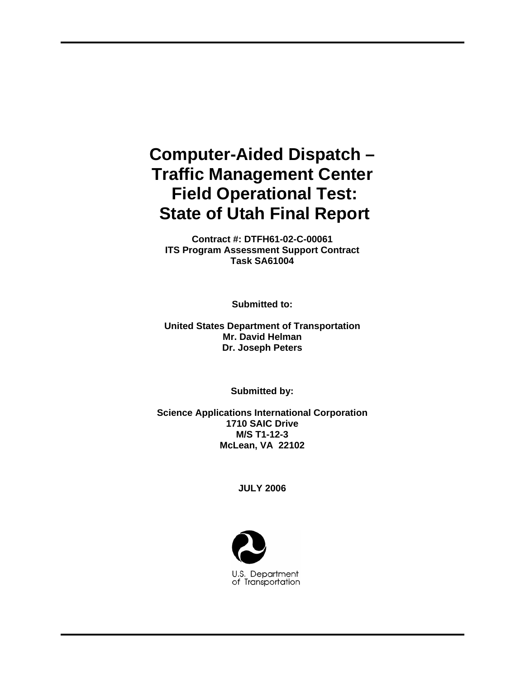# **Computer-Aided Dispatch – Traffic Management Center Field Operational Test: State of Utah Final Report**

**Contract #: DTFH61-02-C-00061 ITS Program Assessment Support Contract Task SA61004** 

**Submitted to:** 

**United States Department of Transportation Mr. David Helman Dr. Joseph Peters** 

**Submitted by:** 

**Science Applications International Corporation 1710 SAIC Drive M/S T1-12-3 McLean, VA 22102**

**JULY 2006** 

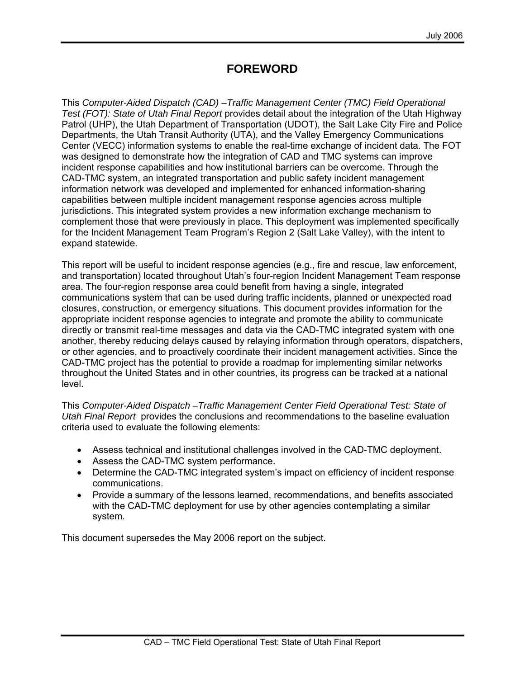## **FOREWORD**

This *Computer-Aided Dispatch (CAD) –Traffic Management Center (TMC) Field Operational Test (FOT): State of Utah Final Report* provides detail about the integration of the Utah Highway Patrol (UHP), the Utah Department of Transportation (UDOT), the Salt Lake City Fire and Police Departments, the Utah Transit Authority (UTA), and the Valley Emergency Communications Center (VECC) information systems to enable the real-time exchange of incident data. The FOT was designed to demonstrate how the integration of CAD and TMC systems can improve incident response capabilities and how institutional barriers can be overcome. Through the CAD-TMC system, an integrated transportation and public safety incident management information network was developed and implemented for enhanced information-sharing capabilities between multiple incident management response agencies across multiple jurisdictions. This integrated system provides a new information exchange mechanism to complement those that were previously in place. This deployment was implemented specifically for the Incident Management Team Program's Region 2 (Salt Lake Valley), with the intent to expand statewide.

This report will be useful to incident response agencies (e.g., fire and rescue, law enforcement, and transportation) located throughout Utah's four-region Incident Management Team response area. The four-region response area could benefit from having a single, integrated communications system that can be used during traffic incidents, planned or unexpected road closures, construction, or emergency situations. This document provides information for the appropriate incident response agencies to integrate and promote the ability to communicate directly or transmit real-time messages and data via the CAD-TMC integrated system with one another, thereby reducing delays caused by relaying information through operators, dispatchers, or other agencies, and to proactively coordinate their incident management activities. Since the CAD-TMC project has the potential to provide a roadmap for implementing similar networks throughout the United States and in other countries, its progress can be tracked at a national level.

This *Computer-Aided Dispatch –Traffic Management Center Field Operational Test: State of Utah Final Report* provides the conclusions and recommendations to the baseline evaluation criteria used to evaluate the following elements:

- Assess technical and institutional challenges involved in the CAD-TMC deployment.
- Assess the CAD-TMC system performance.
- Determine the CAD-TMC integrated system's impact on efficiency of incident response communications.
- Provide a summary of the lessons learned, recommendations, and benefits associated with the CAD-TMC deployment for use by other agencies contemplating a similar system.

This document supersedes the May 2006 report on the subject.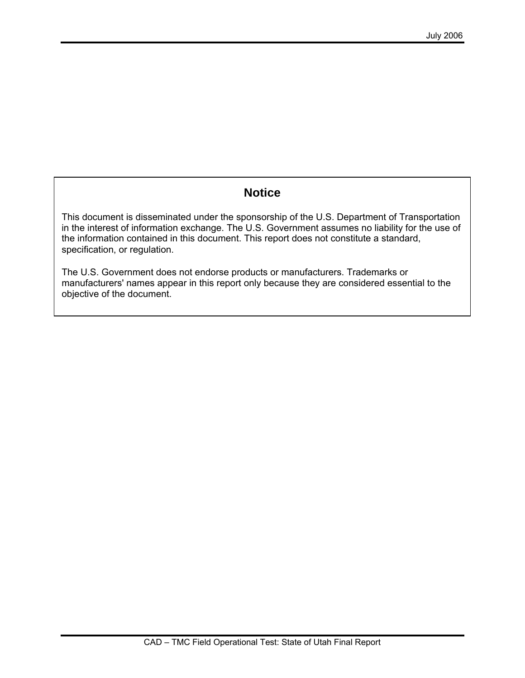## **Notice**

This document is disseminated under the sponsorship of the U.S. Department of Transportation in the interest of information exchange. The U.S. Government assumes no liability for the use of the information contained in this document. This report does not constitute a standard, specification, or regulation.

The U.S. Government does not endorse products or manufacturers. Trademarks or manufacturers' names appear in this report only because they are considered essential to the objective of the document.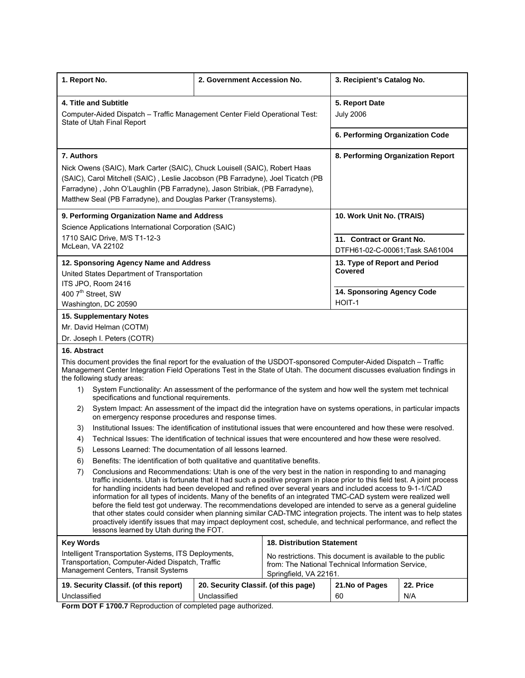| 1. Report No.                                                                                                                                                                                                                                                                                                                                                                                                                                                                                                                                                                                                                                                                                                                                                                                                                                                                          | 2. Government Accession No.                                                 |                                   | 3. Recipient's Catalog No.               |     |
|----------------------------------------------------------------------------------------------------------------------------------------------------------------------------------------------------------------------------------------------------------------------------------------------------------------------------------------------------------------------------------------------------------------------------------------------------------------------------------------------------------------------------------------------------------------------------------------------------------------------------------------------------------------------------------------------------------------------------------------------------------------------------------------------------------------------------------------------------------------------------------------|-----------------------------------------------------------------------------|-----------------------------------|------------------------------------------|-----|
| 4. Title and Subtitle                                                                                                                                                                                                                                                                                                                                                                                                                                                                                                                                                                                                                                                                                                                                                                                                                                                                  |                                                                             |                                   | 5. Report Date                           |     |
| Computer-Aided Dispatch - Traffic Management Center Field Operational Test:<br>State of Utah Final Report                                                                                                                                                                                                                                                                                                                                                                                                                                                                                                                                                                                                                                                                                                                                                                              |                                                                             |                                   | <b>July 2006</b>                         |     |
|                                                                                                                                                                                                                                                                                                                                                                                                                                                                                                                                                                                                                                                                                                                                                                                                                                                                                        |                                                                             |                                   | 6. Performing Organization Code          |     |
| 7. Authors                                                                                                                                                                                                                                                                                                                                                                                                                                                                                                                                                                                                                                                                                                                                                                                                                                                                             |                                                                             |                                   | 8. Performing Organization Report        |     |
| Nick Owens (SAIC), Mark Carter (SAIC), Chuck Louisell (SAIC), Robert Haas<br>(SAIC), Carol Mitchell (SAIC), Leslie Jacobson (PB Farradyne), Joel Ticatch (PB<br>Farradyne), John O'Laughlin (PB Farradyne), Jason Stribiak, (PB Farradyne),<br>Matthew Seal (PB Farradyne), and Douglas Parker (Transystems).                                                                                                                                                                                                                                                                                                                                                                                                                                                                                                                                                                          |                                                                             |                                   |                                          |     |
| 9. Performing Organization Name and Address                                                                                                                                                                                                                                                                                                                                                                                                                                                                                                                                                                                                                                                                                                                                                                                                                                            |                                                                             |                                   | 10. Work Unit No. (TRAIS)                |     |
| Science Applications International Corporation (SAIC)                                                                                                                                                                                                                                                                                                                                                                                                                                                                                                                                                                                                                                                                                                                                                                                                                                  |                                                                             |                                   |                                          |     |
| 1710 SAIC Drive, M/S T1-12-3                                                                                                                                                                                                                                                                                                                                                                                                                                                                                                                                                                                                                                                                                                                                                                                                                                                           |                                                                             |                                   | 11. Contract or Grant No.                |     |
| McLean, VA 22102                                                                                                                                                                                                                                                                                                                                                                                                                                                                                                                                                                                                                                                                                                                                                                                                                                                                       |                                                                             |                                   | DTFH61-02-C-00061;Task SA61004           |     |
| 12. Sponsoring Agency Name and Address<br>United States Department of Transportation                                                                                                                                                                                                                                                                                                                                                                                                                                                                                                                                                                                                                                                                                                                                                                                                   |                                                                             |                                   | 13. Type of Report and Period<br>Covered |     |
| ITS JPO, Room 2416                                                                                                                                                                                                                                                                                                                                                                                                                                                                                                                                                                                                                                                                                                                                                                                                                                                                     |                                                                             |                                   | 14. Sponsoring Agency Code               |     |
| 400 7 <sup>th</sup> Street, SW<br>Washington, DC 20590                                                                                                                                                                                                                                                                                                                                                                                                                                                                                                                                                                                                                                                                                                                                                                                                                                 |                                                                             |                                   | HOIT-1                                   |     |
| 15. Supplementary Notes                                                                                                                                                                                                                                                                                                                                                                                                                                                                                                                                                                                                                                                                                                                                                                                                                                                                |                                                                             |                                   |                                          |     |
|                                                                                                                                                                                                                                                                                                                                                                                                                                                                                                                                                                                                                                                                                                                                                                                                                                                                                        |                                                                             |                                   |                                          |     |
| Mr. David Helman (COTM)<br>Dr. Joseph I. Peters (COTR)                                                                                                                                                                                                                                                                                                                                                                                                                                                                                                                                                                                                                                                                                                                                                                                                                                 |                                                                             |                                   |                                          |     |
| 16. Abstract                                                                                                                                                                                                                                                                                                                                                                                                                                                                                                                                                                                                                                                                                                                                                                                                                                                                           |                                                                             |                                   |                                          |     |
| This document provides the final report for the evaluation of the USDOT-sponsored Computer-Aided Dispatch - Traffic<br>Management Center Integration Field Operations Test in the State of Utah. The document discusses evaluation findings in<br>the following study areas:                                                                                                                                                                                                                                                                                                                                                                                                                                                                                                                                                                                                           |                                                                             |                                   |                                          |     |
| System Functionality: An assessment of the performance of the system and how well the system met technical<br>1)<br>specifications and functional requirements.                                                                                                                                                                                                                                                                                                                                                                                                                                                                                                                                                                                                                                                                                                                        |                                                                             |                                   |                                          |     |
| System Impact: An assessment of the impact did the integration have on systems operations, in particular impacts<br>2)<br>on emergency response procedures and response times.                                                                                                                                                                                                                                                                                                                                                                                                                                                                                                                                                                                                                                                                                                         |                                                                             |                                   |                                          |     |
| Institutional Issues: The identification of institutional issues that were encountered and how these were resolved.<br>3)                                                                                                                                                                                                                                                                                                                                                                                                                                                                                                                                                                                                                                                                                                                                                              |                                                                             |                                   |                                          |     |
| Technical Issues: The identification of technical issues that were encountered and how these were resolved.<br>4)                                                                                                                                                                                                                                                                                                                                                                                                                                                                                                                                                                                                                                                                                                                                                                      |                                                                             |                                   |                                          |     |
| Lessons Learned: The documentation of all lessons learned.<br>5)                                                                                                                                                                                                                                                                                                                                                                                                                                                                                                                                                                                                                                                                                                                                                                                                                       |                                                                             |                                   |                                          |     |
| 6)                                                                                                                                                                                                                                                                                                                                                                                                                                                                                                                                                                                                                                                                                                                                                                                                                                                                                     | Benefits: The identification of both qualitative and quantitative benefits. |                                   |                                          |     |
| 7)<br>Conclusions and Recommendations: Utah is one of the very best in the nation in responding to and managing<br>traffic incidents. Utah is fortunate that it had such a positive program in place prior to this field test. A joint process<br>for handling incidents had been developed and refined over several years and included access to 9-1-1/CAD<br>information for all types of incidents. Many of the benefits of an integrated TMC-CAD system were realized well<br>before the field test got underway. The recommendations developed are intended to serve as a general guideline<br>that other states could consider when planning similar CAD-TMC integration projects. The intent was to help states<br>proactively identify issues that may impact deployment cost, schedule, and technical performance, and reflect the<br>lessons learned by Utah during the FOT. |                                                                             |                                   |                                          |     |
| <b>Key Words</b>                                                                                                                                                                                                                                                                                                                                                                                                                                                                                                                                                                                                                                                                                                                                                                                                                                                                       |                                                                             | <b>18. Distribution Statement</b> |                                          |     |
| Intelligent Transportation Systems, ITS Deployments,<br>No restrictions. This document is available to the public<br>Transportation, Computer-Aided Dispatch, Traffic<br>from: The National Technical Information Service,<br>Management Centers, Transit Systems<br>Springfield, VA 22161.                                                                                                                                                                                                                                                                                                                                                                                                                                                                                                                                                                                            |                                                                             |                                   |                                          |     |
| 19. Security Classif. (of this report)<br>20. Security Classif. (of this page)<br>21. No of Pages<br>22. Price                                                                                                                                                                                                                                                                                                                                                                                                                                                                                                                                                                                                                                                                                                                                                                         |                                                                             |                                   |                                          |     |
| Unclassified<br>Ferm DOT F 4700.7 Depreduction of completed nego outboring                                                                                                                                                                                                                                                                                                                                                                                                                                                                                                                                                                                                                                                                                                                                                                                                             | Unclassified                                                                |                                   | 60                                       | N/A |

**Form DOT F 1700.7** Reproduction of completed page authorized.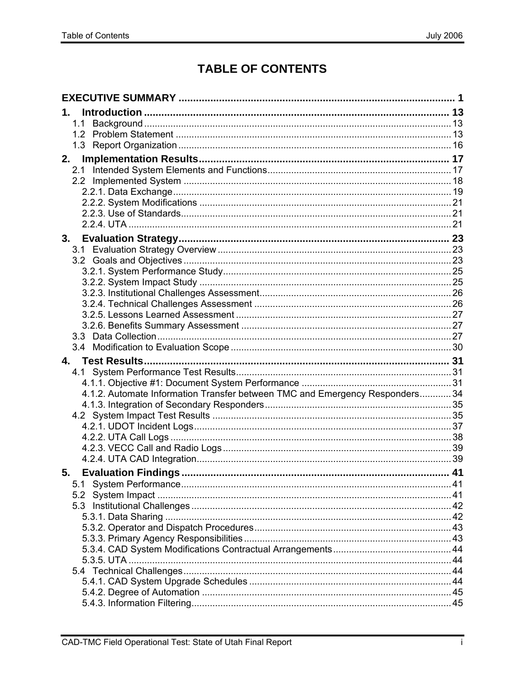# **TABLE OF CONTENTS**

| 1.                                                                           |    |
|------------------------------------------------------------------------------|----|
| 1.1                                                                          |    |
|                                                                              |    |
|                                                                              |    |
| 2.                                                                           |    |
| 2.1                                                                          |    |
|                                                                              |    |
|                                                                              |    |
|                                                                              |    |
|                                                                              |    |
|                                                                              |    |
|                                                                              |    |
|                                                                              |    |
|                                                                              |    |
|                                                                              |    |
|                                                                              |    |
|                                                                              |    |
|                                                                              |    |
|                                                                              |    |
|                                                                              |    |
|                                                                              |    |
|                                                                              |    |
|                                                                              |    |
| 4.                                                                           |    |
|                                                                              |    |
|                                                                              |    |
| 4.1.2. Automate Information Transfer between TMC and Emergency Responders 34 |    |
|                                                                              |    |
|                                                                              |    |
|                                                                              |    |
|                                                                              |    |
|                                                                              |    |
|                                                                              |    |
| <b>Evaluation Findings.</b><br>5.                                            | 41 |
| 5.1                                                                          |    |
|                                                                              |    |
|                                                                              |    |
|                                                                              |    |
|                                                                              |    |
|                                                                              |    |
|                                                                              |    |
|                                                                              |    |
|                                                                              |    |
|                                                                              |    |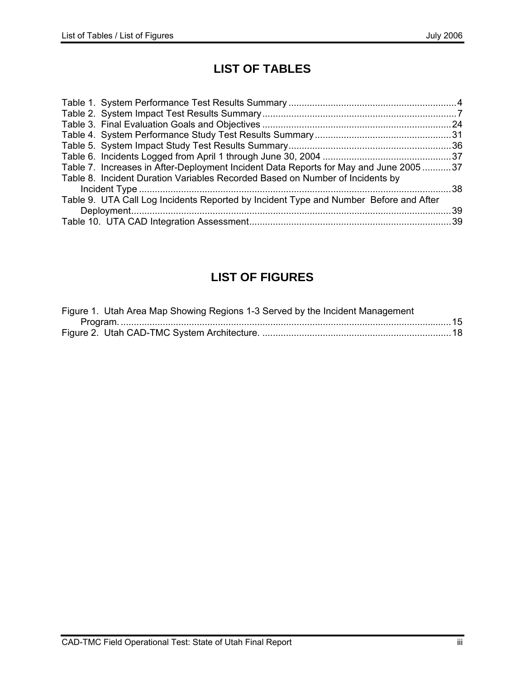# **LIST OF TABLES**

| Table 7. Increases in After-Deployment Incident Data Reports for May and June 200537  |  |
|---------------------------------------------------------------------------------------|--|
| Table 8. Incident Duration Variables Recorded Based on Number of Incidents by         |  |
|                                                                                       |  |
| Table 9. UTA Call Log Incidents Reported by Incident Type and Number Before and After |  |
|                                                                                       |  |
|                                                                                       |  |

# **LIST OF FIGURES**

| Figure 1. Utah Area Map Showing Regions 1-3 Served by the Incident Management |  |
|-------------------------------------------------------------------------------|--|
|                                                                               |  |
|                                                                               |  |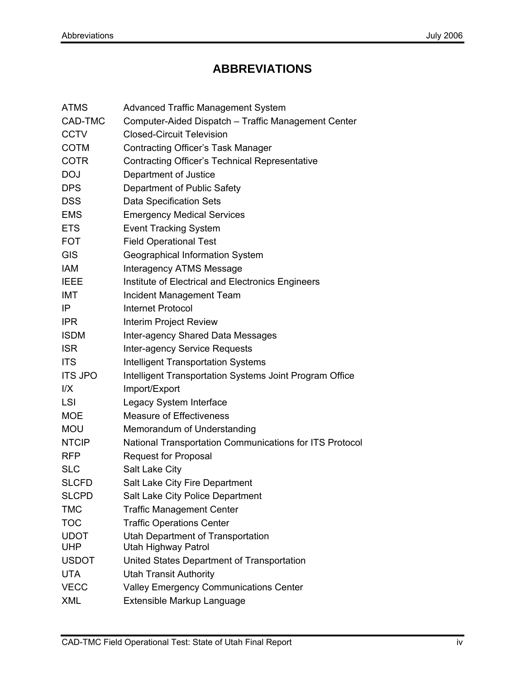# **ABBREVIATIONS**

| <b>ATMS</b>    | <b>Advanced Traffic Management System</b>                |
|----------------|----------------------------------------------------------|
| CAD-TMC        | Computer-Aided Dispatch - Traffic Management Center      |
| CCTV           | <b>Closed-Circuit Television</b>                         |
| COTM           | <b>Contracting Officer's Task Manager</b>                |
| COTR           | <b>Contracting Officer's Technical Representative</b>    |
| DOJ            | Department of Justice                                    |
| DPS            | Department of Public Safety                              |
| <b>DSS</b>     | <b>Data Specification Sets</b>                           |
| EMS            | <b>Emergency Medical Services</b>                        |
| ETS            | <b>Event Tracking System</b>                             |
| FOT            | <b>Field Operational Test</b>                            |
| GIS            | Geographical Information System                          |
| IAM            | <b>Interagency ATMS Message</b>                          |
| IEEE           | Institute of Electrical and Electronics Engineers        |
| IMT            | Incident Management Team                                 |
| ΙP             | <b>Internet Protocol</b>                                 |
| IPR            | <b>Interim Project Review</b>                            |
| ISDM           | Inter-agency Shared Data Messages                        |
| <b>ISR</b>     | Inter-agency Service Requests                            |
| <b>ITS</b>     | <b>Intelligent Transportation Systems</b>                |
| <b>ITS JPO</b> | Intelligent Transportation Systems Joint Program Office  |
| l/X            | Import/Export                                            |
| LSI            | Legacy System Interface                                  |
| MOE            | <b>Measure of Effectiveness</b>                          |
| MOU            | Memorandum of Understanding                              |
| <b>NTCIP</b>   | National Transportation Communications for ITS Protocol  |
| RFP            | <b>Request for Proposal</b>                              |
| SLC            | Salt Lake City                                           |
| SLCFD          | Salt Lake City Fire Department                           |
| SLCPD          | Salt Lake City Police Department                         |
| TMC            | <b>Traffic Management Center</b>                         |
| тос            | <b>Traffic Operations Center</b>                         |
| UDOT<br>UHP    | Utah Department of Transportation<br>Utah Highway Patrol |
| USDOT          | United States Department of Transportation               |
| UTA            | <b>Utah Transit Authority</b>                            |
| <b>VECC</b>    | <b>Valley Emergency Communications Center</b>            |
| XML            | Extensible Markup Language                               |
|                |                                                          |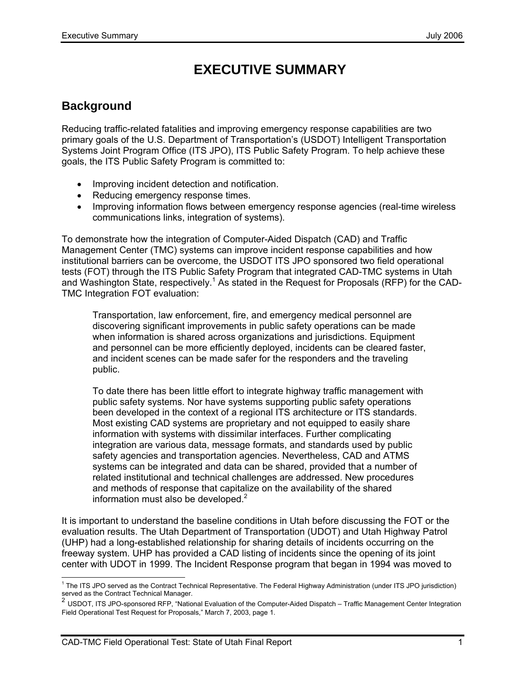# **EXECUTIVE SUMMARY**

# **Background**

Reducing traffic-related fatalities and improving emergency response capabilities are two primary goals of the U.S. Department of Transportation's (USDOT) Intelligent Transportation Systems Joint Program Office (ITS JPO), ITS Public Safety Program. To help achieve these goals, the ITS Public Safety Program is committed to:

- Improving incident detection and notification.
- Reducing emergency response times.
- Improving information flows between emergency response agencies (real-time wireless communications links, integration of systems).

To demonstrate how the integration of Computer-Aided Dispatch (CAD) and Traffic Management Center (TMC) systems can improve incident response capabilities and how institutional barriers can be overcome, the USDOT ITS JPO sponsored two field operational tests (FOT) through the ITS Public Safety Program that integrated CAD-TMC systems in Utah and Washington State, respectively.<sup>1</sup> As stated in the Request for Proposals (RFP) for the CAD-TMC Integration FOT evaluation:

Transportation, law enforcement, fire, and emergency medical personnel are discovering significant improvements in public safety operations can be made when information is shared across organizations and jurisdictions. Equipment and personnel can be more efficiently deployed, incidents can be cleared faster, and incident scenes can be made safer for the responders and the traveling public.

To date there has been little effort to integrate highway traffic management with public safety systems. Nor have systems supporting public safety operations been developed in the context of a regional ITS architecture or ITS standards. Most existing CAD systems are proprietary and not equipped to easily share information with systems with dissimilar interfaces. Further complicating integration are various data, message formats, and standards used by public safety agencies and transportation agencies. Nevertheless, CAD and ATMS systems can be integrated and data can be shared, provided that a number of related institutional and technical challenges are addressed. New procedures and methods of response that capitalize on the availability of the shared information must also be developed. $2$ 

It is important to understand the baseline conditions in Utah before discussing the FOT or the evaluation results. The Utah Department of Transportation (UDOT) and Utah Highway Patrol (UHP) had a long-established relationship for sharing details of incidents occurring on the freeway system. UHP has provided a CAD listing of incidents since the opening of its joint center with UDOT in 1999. The Incident Response program that began in 1994 was moved to

<sup>-</sup><sup>1</sup> The ITS JPO served as the Contract Technical Representative. The Federal Highway Administration (under ITS JPO jurisdiction) served as the Contract Technical Manager.

<sup>&</sup>lt;sup>2</sup> USDOT, ITS JPO-sponsored RFP, "National Evaluation of the Computer-Aided Dispatch – Traffic Management Center Integration Field Operational Test Request for Proposals," March 7, 2003, page 1.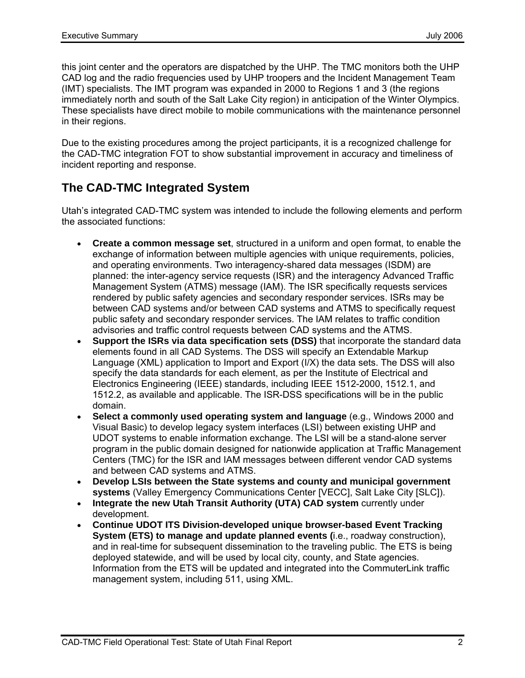this joint center and the operators are dispatched by the UHP. The TMC monitors both the UHP CAD log and the radio frequencies used by UHP troopers and the Incident Management Team (IMT) specialists. The IMT program was expanded in 2000 to Regions 1 and 3 (the regions immediately north and south of the Salt Lake City region) in anticipation of the Winter Olympics. These specialists have direct mobile to mobile communications with the maintenance personnel in their regions.

Due to the existing procedures among the project participants, it is a recognized challenge for the CAD-TMC integration FOT to show substantial improvement in accuracy and timeliness of incident reporting and response.

# **The CAD-TMC Integrated System**

Utah's integrated CAD-TMC system was intended to include the following elements and perform the associated functions:

- **Create a common message set**, structured in a uniform and open format, to enable the exchange of information between multiple agencies with unique requirements, policies, and operating environments. Two interagency-shared data messages (ISDM) are planned: the inter-agency service requests (ISR) and the interagency Advanced Traffic Management System (ATMS) message (IAM). The ISR specifically requests services rendered by public safety agencies and secondary responder services. ISRs may be between CAD systems and/or between CAD systems and ATMS to specifically request public safety and secondary responder services. The IAM relates to traffic condition advisories and traffic control requests between CAD systems and the ATMS.
- **Support the ISRs via data specification sets (DSS)** that incorporate the standard data elements found in all CAD Systems. The DSS will specify an Extendable Markup Language (XML) application to Import and Export (I/X) the data sets. The DSS will also specify the data standards for each element, as per the Institute of Electrical and Electronics Engineering (IEEE) standards, including IEEE 1512-2000, 1512.1, and 1512.2, as available and applicable. The ISR-DSS specifications will be in the public domain.
- **Select a commonly used operating system and language** (e.g., Windows 2000 and Visual Basic) to develop legacy system interfaces (LSI) between existing UHP and UDOT systems to enable information exchange. The LSI will be a stand-alone server program in the public domain designed for nationwide application at Traffic Management Centers (TMC) for the ISR and IAM messages between different vendor CAD systems and between CAD systems and ATMS.
- **Develop LSIs between the State systems and county and municipal government systems** (Valley Emergency Communications Center [VECC], Salt Lake City [SLC]).
- **Integrate the new Utah Transit Authority (UTA) CAD system** currently under development.
- **Continue UDOT ITS Division-developed unique browser-based Event Tracking System (ETS) to manage and update planned events (**i.e., roadway construction), and in real-time for subsequent dissemination to the traveling public. The ETS is being deployed statewide, and will be used by local city, county, and State agencies. Information from the ETS will be updated and integrated into the CommuterLink traffic management system, including 511, using XML.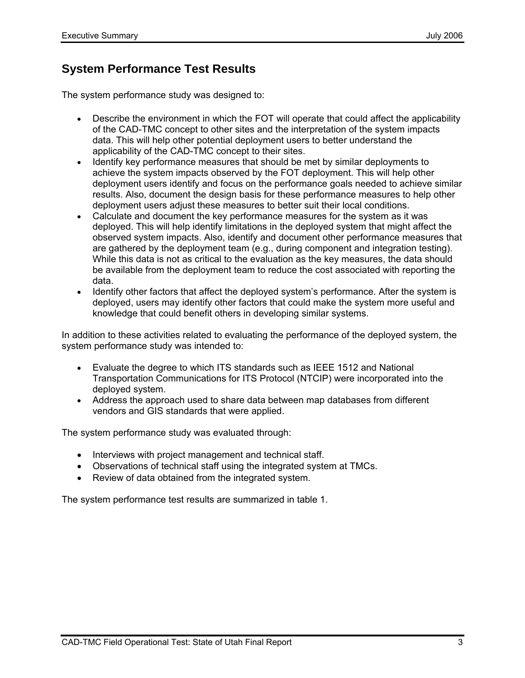# **System Performance Test Results**

The system performance study was designed to:

- Describe the environment in which the FOT will operate that could affect the applicability of the CAD-TMC concept to other sites and the interpretation of the system impacts data. This will help other potential deployment users to better understand the applicability of the CAD-TMC concept to their sites.
- Identify key performance measures that should be met by similar deployments to achieve the system impacts observed by the FOT deployment. This will help other deployment users identify and focus on the performance goals needed to achieve similar results. Also, document the design basis for these performance measures to help other deployment users adjust these measures to better suit their local conditions.
- Calculate and document the key performance measures for the system as it was deployed. This will help identify limitations in the deployed system that might affect the observed system impacts. Also, identify and document other performance measures that are gathered by the deployment team (e.g., during component and integration testing). While this data is not as critical to the evaluation as the key measures, the data should be available from the deployment team to reduce the cost associated with reporting the data.
- Identify other factors that affect the deployed system's performance. After the system is deployed, users may identify other factors that could make the system more useful and knowledge that could benefit others in developing similar systems.

In addition to these activities related to evaluating the performance of the deployed system, the system performance study was intended to:

- Evaluate the degree to which ITS standards such as IEEE 1512 and National Transportation Communications for ITS Protocol (NTCIP) were incorporated into the deployed system.
- Address the approach used to share data between map databases from different vendors and GIS standards that were applied.

The system performance study was evaluated through:

- Interviews with project management and technical staff.
- Observations of technical staff using the integrated system at TMCs.
- Review of data obtained from the integrated system.

The system performance test results are summarized in table 1.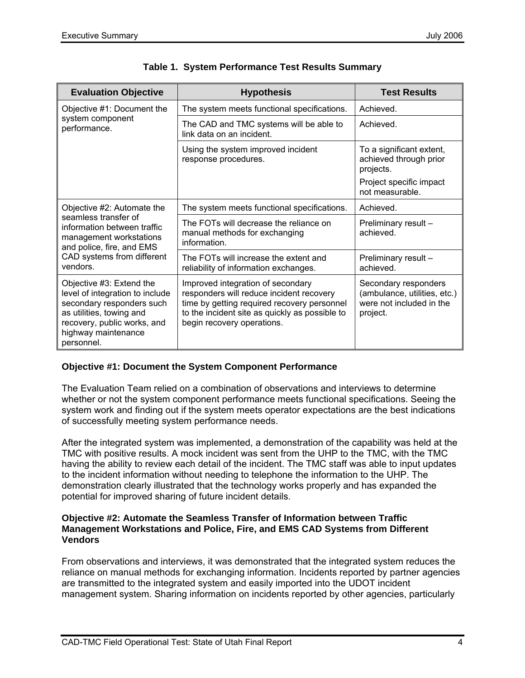| <b>Evaluation Objective</b>                                                                                                                                                              | <b>Hypothesis</b>                                                                                                                                                                                            | <b>Test Results</b>                                                                                           |
|------------------------------------------------------------------------------------------------------------------------------------------------------------------------------------------|--------------------------------------------------------------------------------------------------------------------------------------------------------------------------------------------------------------|---------------------------------------------------------------------------------------------------------------|
| Objective #1: Document the                                                                                                                                                               | The system meets functional specifications.                                                                                                                                                                  | Achieved.                                                                                                     |
| system component<br>performance.                                                                                                                                                         | The CAD and TMC systems will be able to<br>link data on an incident.                                                                                                                                         | Achieved.                                                                                                     |
|                                                                                                                                                                                          | Using the system improved incident<br>response procedures.                                                                                                                                                   | To a significant extent,<br>achieved through prior<br>projects.<br>Project specific impact<br>not measurable. |
| Objective #2: Automate the                                                                                                                                                               | The system meets functional specifications.                                                                                                                                                                  | Achieved.                                                                                                     |
| seamless transfer of<br>information between traffic<br>management workstations<br>and police, fire, and EMS                                                                              | The FOTs will decrease the reliance on<br>manual methods for exchanging<br>information.                                                                                                                      | Preliminary result -<br>achieved.                                                                             |
| CAD systems from different<br>vendors.                                                                                                                                                   | The FOTs will increase the extent and<br>reliability of information exchanges.                                                                                                                               | Preliminary result -<br>achieved.                                                                             |
| Objective #3: Extend the<br>level of integration to include<br>secondary responders such<br>as utilities, towing and<br>recovery, public works, and<br>highway maintenance<br>personnel. | Improved integration of secondary<br>responders will reduce incident recovery<br>time by getting required recovery personnel<br>to the incident site as quickly as possible to<br>begin recovery operations. | Secondary responders<br>(ambulance, utilities, etc.)<br>were not included in the<br>project.                  |

#### **Objective #1: Document the System Component Performance**

The Evaluation Team relied on a combination of observations and interviews to determine whether or not the system component performance meets functional specifications. Seeing the system work and finding out if the system meets operator expectations are the best indications of successfully meeting system performance needs.

After the integrated system was implemented, a demonstration of the capability was held at the TMC with positive results. A mock incident was sent from the UHP to the TMC, with the TMC having the ability to review each detail of the incident. The TMC staff was able to input updates to the incident information without needing to telephone the information to the UHP. The demonstration clearly illustrated that the technology works properly and has expanded the potential for improved sharing of future incident details.

#### **Objective #2: Automate the Seamless Transfer of Information between Traffic Management Workstations and Police, Fire, and EMS CAD Systems from Different Vendors**

From observations and interviews, it was demonstrated that the integrated system reduces the reliance on manual methods for exchanging information. Incidents reported by partner agencies are transmitted to the integrated system and easily imported into the UDOT incident management system. Sharing information on incidents reported by other agencies, particularly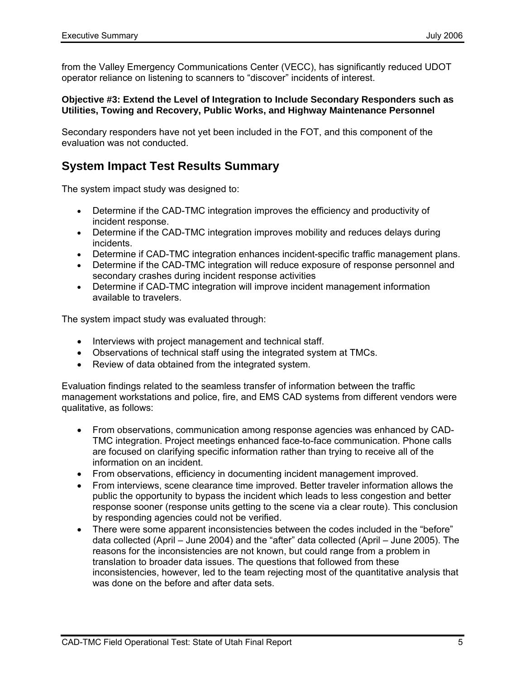from the Valley Emergency Communications Center (VECC), has significantly reduced UDOT operator reliance on listening to scanners to "discover" incidents of interest.

#### **Objective #3: Extend the Level of Integration to Include Secondary Responders such as Utilities, Towing and Recovery, Public Works, and Highway Maintenance Personnel**

Secondary responders have not yet been included in the FOT, and this component of the evaluation was not conducted.

## **System Impact Test Results Summary**

The system impact study was designed to:

- Determine if the CAD-TMC integration improves the efficiency and productivity of incident response.
- Determine if the CAD-TMC integration improves mobility and reduces delays during incidents.
- Determine if CAD-TMC integration enhances incident-specific traffic management plans.
- Determine if the CAD-TMC integration will reduce exposure of response personnel and secondary crashes during incident response activities
- Determine if CAD-TMC integration will improve incident management information available to travelers.

The system impact study was evaluated through:

- Interviews with project management and technical staff.
- Observations of technical staff using the integrated system at TMCs.
- Review of data obtained from the integrated system.

Evaluation findings related to the seamless transfer of information between the traffic management workstations and police, fire, and EMS CAD systems from different vendors were qualitative, as follows:

- From observations, communication among response agencies was enhanced by CAD-TMC integration. Project meetings enhanced face-to-face communication. Phone calls are focused on clarifying specific information rather than trying to receive all of the information on an incident.
- From observations, efficiency in documenting incident management improved.
- From interviews, scene clearance time improved. Better traveler information allows the public the opportunity to bypass the incident which leads to less congestion and better response sooner (response units getting to the scene via a clear route). This conclusion by responding agencies could not be verified.
- There were some apparent inconsistencies between the codes included in the "before" data collected (April – June 2004) and the "after" data collected (April – June 2005). The reasons for the inconsistencies are not known, but could range from a problem in translation to broader data issues. The questions that followed from these inconsistencies, however, led to the team rejecting most of the quantitative analysis that was done on the before and after data sets.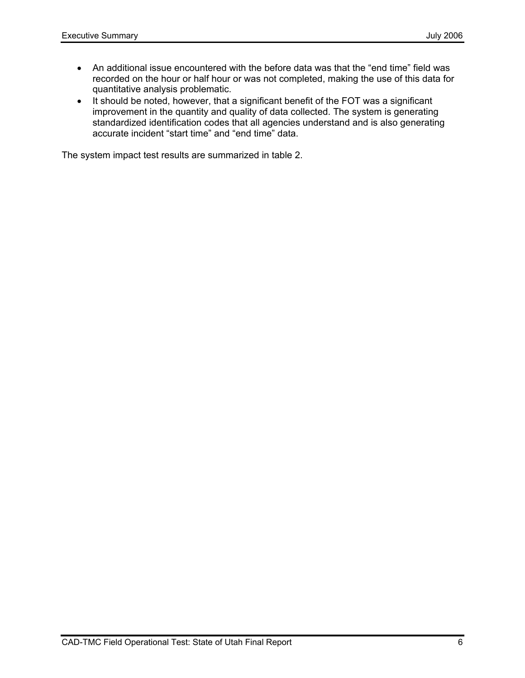- An additional issue encountered with the before data was that the "end time" field was recorded on the hour or half hour or was not completed, making the use of this data for quantitative analysis problematic.
- It should be noted, however, that a significant benefit of the FOT was a significant improvement in the quantity and quality of data collected. The system is generating standardized identification codes that all agencies understand and is also generating accurate incident "start time" and "end time" data.

The system impact test results are summarized in table 2.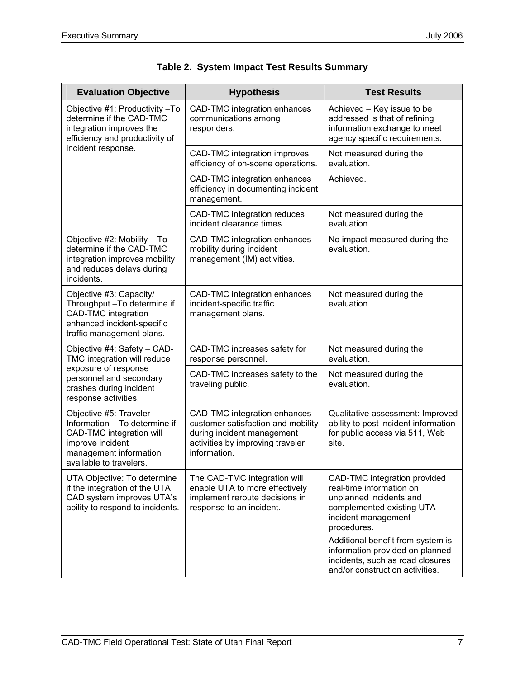| <b>Evaluation Objective</b>                                                                                                                                  | <b>Hypothesis</b>                                                                                                                                    | <b>Test Results</b>                                                                                                                                    |  |
|--------------------------------------------------------------------------------------------------------------------------------------------------------------|------------------------------------------------------------------------------------------------------------------------------------------------------|--------------------------------------------------------------------------------------------------------------------------------------------------------|--|
| Objective #1: Productivity -To<br>determine if the CAD-TMC<br>integration improves the<br>efficiency and productivity of                                     | CAD-TMC integration enhances<br>communications among<br>responders.                                                                                  | Achieved - Key issue to be<br>addressed is that of refining<br>information exchange to meet<br>agency specific requirements.                           |  |
| incident response.                                                                                                                                           | CAD-TMC integration improves<br>efficiency of on-scene operations.                                                                                   | Not measured during the<br>evaluation.                                                                                                                 |  |
|                                                                                                                                                              | CAD-TMC integration enhances<br>efficiency in documenting incident<br>management.                                                                    | Achieved.                                                                                                                                              |  |
|                                                                                                                                                              | CAD-TMC integration reduces<br>incident clearance times.                                                                                             | Not measured during the<br>evaluation.                                                                                                                 |  |
| Objective #2: Mobility - To<br>determine if the CAD-TMC<br>integration improves mobility<br>and reduces delays during<br>incidents.                          | CAD-TMC integration enhances<br>mobility during incident<br>management (IM) activities.                                                              | No impact measured during the<br>evaluation.                                                                                                           |  |
| Objective #3: Capacity/<br>Throughput - To determine if<br><b>CAD-TMC</b> integration<br>enhanced incident-specific<br>traffic management plans.             | CAD-TMC integration enhances<br>incident-specific traffic<br>management plans.                                                                       | Not measured during the<br>evaluation.                                                                                                                 |  |
| Objective #4: Safety - CAD-<br>TMC integration will reduce                                                                                                   | CAD-TMC increases safety for<br>response personnel.                                                                                                  | Not measured during the<br>evaluation.                                                                                                                 |  |
| exposure of response<br>personnel and secondary<br>crashes during incident<br>response activities.                                                           | CAD-TMC increases safety to the<br>traveling public.                                                                                                 | Not measured during the<br>evaluation.                                                                                                                 |  |
| Objective #5: Traveler<br>Information - To determine if<br>CAD-TMC integration will<br>improve incident<br>management information<br>available to travelers. | CAD-TMC integration enhances<br>customer satisfaction and mobility<br>during incident management<br>activities by improving traveler<br>information. | Qualitative assessment: Improved<br>ability to post incident information<br>for public access via 511, Web<br>site.                                    |  |
| UTA Objective: To determine<br>if the integration of the UTA<br>CAD system improves UTA's<br>ability to respond to incidents.                                | The CAD-TMC integration will<br>enable UTA to more effectively<br>implement reroute decisions in<br>response to an incident.                         | CAD-TMC integration provided<br>real-time information on<br>unplanned incidents and<br>complemented existing UTA<br>incident management<br>procedures. |  |
|                                                                                                                                                              |                                                                                                                                                      | Additional benefit from system is<br>information provided on planned<br>incidents, such as road closures<br>and/or construction activities.            |  |

|  |  |  | Table 2. System Impact Test Results Summary |  |
|--|--|--|---------------------------------------------|--|
|--|--|--|---------------------------------------------|--|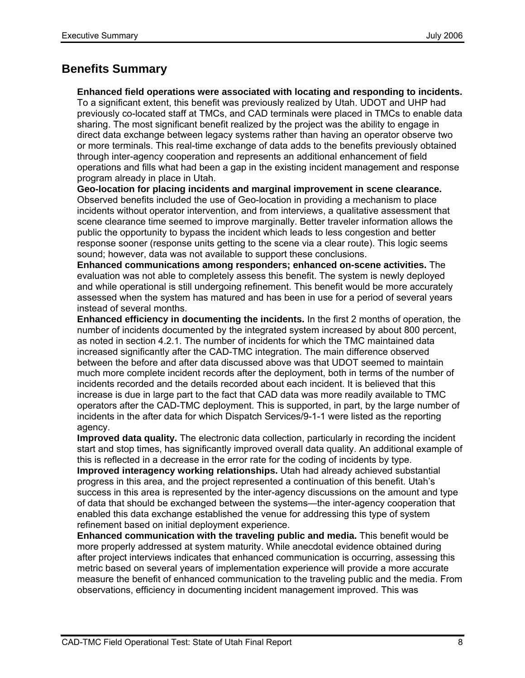# **Benefits Summary**

**Enhanced field operations were associated with locating and responding to incidents.**

To a significant extent, this benefit was previously realized by Utah. UDOT and UHP had previously co-located staff at TMCs, and CAD terminals were placed in TMCs to enable data sharing. The most significant benefit realized by the project was the ability to engage in direct data exchange between legacy systems rather than having an operator observe two or more terminals. This real-time exchange of data adds to the benefits previously obtained through inter-agency cooperation and represents an additional enhancement of field operations and fills what had been a gap in the existing incident management and response program already in place in Utah.

**Geo-location for placing incidents and marginal improvement in scene clearance.**  Observed benefits included the use of Geo-location in providing a mechanism to place incidents without operator intervention, and from interviews, a qualitative assessment that scene clearance time seemed to improve marginally. Better traveler information allows the public the opportunity to bypass the incident which leads to less congestion and better response sooner (response units getting to the scene via a clear route). This logic seems sound; however, data was not available to support these conclusions.

**Enhanced communications among responders; enhanced on-scene activities.** The evaluation was not able to completely assess this benefit. The system is newly deployed and while operational is still undergoing refinement. This benefit would be more accurately assessed when the system has matured and has been in use for a period of several years instead of several months.

**Enhanced efficiency in documenting the incidents.** In the first 2 months of operation, the number of incidents documented by the integrated system increased by about 800 percent, as noted in section 4.2.1. The number of incidents for which the TMC maintained data increased significantly after the CAD-TMC integration. The main difference observed between the before and after data discussed above was that UDOT seemed to maintain much more complete incident records after the deployment, both in terms of the number of incidents recorded and the details recorded about each incident. It is believed that this increase is due in large part to the fact that CAD data was more readily available to TMC operators after the CAD-TMC deployment. This is supported, in part, by the large number of incidents in the after data for which Dispatch Services/9-1-1 were listed as the reporting agency.

**Improved data quality.** The electronic data collection, particularly in recording the incident start and stop times, has significantly improved overall data quality. An additional example of this is reflected in a decrease in the error rate for the coding of incidents by type.

**Improved interagency working relationships.** Utah had already achieved substantial progress in this area, and the project represented a continuation of this benefit. Utah's success in this area is represented by the inter-agency discussions on the amount and type of data that should be exchanged between the systems—the inter-agency cooperation that enabled this data exchange established the venue for addressing this type of system refinement based on initial deployment experience.

**Enhanced communication with the traveling public and media.** This benefit would be more properly addressed at system maturity. While anecdotal evidence obtained during after project interviews indicates that enhanced communication is occurring, assessing this metric based on several years of implementation experience will provide a more accurate measure the benefit of enhanced communication to the traveling public and the media. From observations, efficiency in documenting incident management improved. This was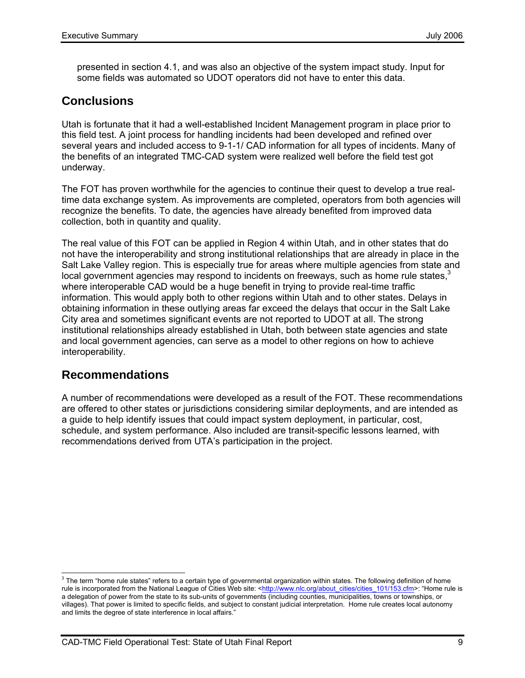presented in section 4.1, and was also an objective of the system impact study. Input for some fields was automated so UDOT operators did not have to enter this data.

# **Conclusions**

Utah is fortunate that it had a well-established Incident Management program in place prior to this field test. A joint process for handling incidents had been developed and refined over several years and included access to 9-1-1/ CAD information for all types of incidents. Many of the benefits of an integrated TMC-CAD system were realized well before the field test got underway.

The FOT has proven worthwhile for the agencies to continue their quest to develop a true realtime data exchange system. As improvements are completed, operators from both agencies will recognize the benefits. To date, the agencies have already benefited from improved data collection, both in quantity and quality.

The real value of this FOT can be applied in Region 4 within Utah, and in other states that do not have the interoperability and strong institutional relationships that are already in place in the Salt Lake Valley region. This is especially true for areas where multiple agencies from state and local government agencies may respond to incidents on freeways, such as home rule states, $3$ where interoperable CAD would be a huge benefit in trying to provide real-time traffic information. This would apply both to other regions within Utah and to other states. Delays in obtaining information in these outlying areas far exceed the delays that occur in the Salt Lake City area and sometimes significant events are not reported to UDOT at all. The strong institutional relationships already established in Utah, both between state agencies and state and local government agencies, can serve as a model to other regions on how to achieve interoperability.

### **Recommendations**

A number of recommendations were developed as a result of the FOT. These recommendations are offered to other states or jurisdictions considering similar deployments, and are intended as a guide to help identify issues that could impact system deployment, in particular, cost, schedule, and system performance. Also included are transit-specific lessons learned, with recommendations derived from UTA's participation in the project.

 3 The term "home rule states" refers to a certain type of governmental organization within states. The following definition of home rule is incorporated from the National League of Cities Web site: <http://www.nlc.org/about\_cities/cities\_101/153.cfm>: "Home rule is a delegation of power from the state to its sub-units of governments (including counties, municipalities, towns or townships, or villages). That power is limited to specific fields, and subject to constant judicial interpretation. Home rule creates local autonomy and limits the degree of state interference in local affairs."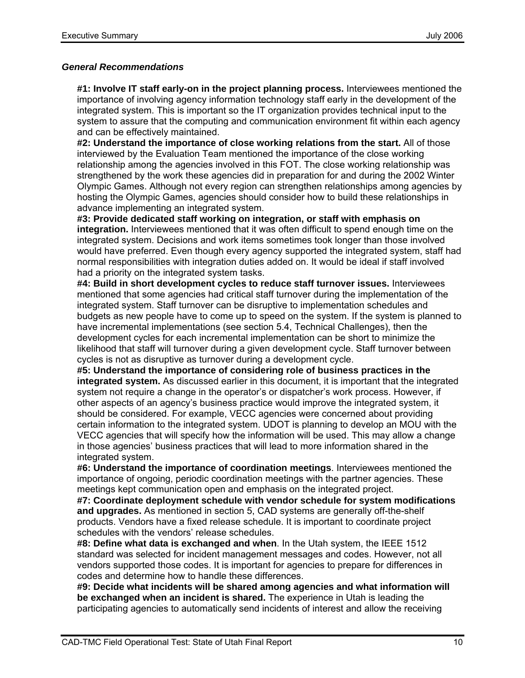#### *General Recommendations*

**#1: Involve IT staff early-on in the project planning process.** Interviewees mentioned the importance of involving agency information technology staff early in the development of the integrated system. This is important so the IT organization provides technical input to the system to assure that the computing and communication environment fit within each agency and can be effectively maintained.

**#2: Understand the importance of close working relations from the start.** All of those interviewed by the Evaluation Team mentioned the importance of the close working relationship among the agencies involved in this FOT. The close working relationship was strengthened by the work these agencies did in preparation for and during the 2002 Winter Olympic Games. Although not every region can strengthen relationships among agencies by hosting the Olympic Games, agencies should consider how to build these relationships in advance implementing an integrated system.

**#3: Provide dedicated staff working on integration, or staff with emphasis on integration.** Interviewees mentioned that it was often difficult to spend enough time on the integrated system. Decisions and work items sometimes took longer than those involved would have preferred. Even though every agency supported the integrated system, staff had normal responsibilities with integration duties added on. It would be ideal if staff involved had a priority on the integrated system tasks.

**#4: Build in short development cycles to reduce staff turnover issues.** Interviewees mentioned that some agencies had critical staff turnover during the implementation of the integrated system. Staff turnover can be disruptive to implementation schedules and budgets as new people have to come up to speed on the system. If the system is planned to have incremental implementations (see section 5.4, Technical Challenges), then the development cycles for each incremental implementation can be short to minimize the likelihood that staff will turnover during a given development cycle. Staff turnover between cycles is not as disruptive as turnover during a development cycle.

**#5: Understand the importance of considering role of business practices in the integrated system.** As discussed earlier in this document, it is important that the integrated system not require a change in the operator's or dispatcher's work process. However, if other aspects of an agency's business practice would improve the integrated system, it should be considered. For example, VECC agencies were concerned about providing certain information to the integrated system. UDOT is planning to develop an MOU with the VECC agencies that will specify how the information will be used. This may allow a change in those agencies' business practices that will lead to more information shared in the integrated system.

**#6: Understand the importance of coordination meetings**. Interviewees mentioned the importance of ongoing, periodic coordination meetings with the partner agencies. These meetings kept communication open and emphasis on the integrated project.

**#7: Coordinate deployment schedule with vendor schedule for system modifications and upgrades.** As mentioned in section 5, CAD systems are generally off-the-shelf products. Vendors have a fixed release schedule. It is important to coordinate project schedules with the vendors' release schedules.

**#8: Define what data is exchanged and when**. In the Utah system, the IEEE 1512 standard was selected for incident management messages and codes. However, not all vendors supported those codes. It is important for agencies to prepare for differences in codes and determine how to handle these differences.

**#9: Decide what incidents will be shared among agencies and what information will be exchanged when an incident is shared.** The experience in Utah is leading the participating agencies to automatically send incidents of interest and allow the receiving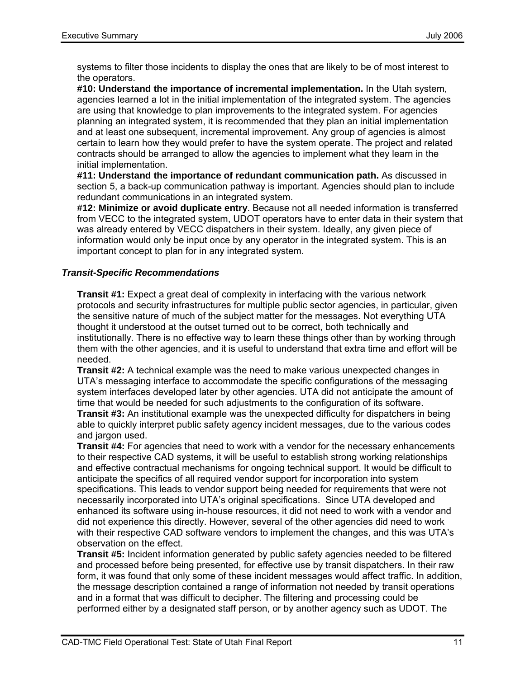systems to filter those incidents to display the ones that are likely to be of most interest to the operators.

**#10: Understand the importance of incremental implementation.** In the Utah system, agencies learned a lot in the initial implementation of the integrated system. The agencies are using that knowledge to plan improvements to the integrated system. For agencies planning an integrated system, it is recommended that they plan an initial implementation and at least one subsequent, incremental improvement. Any group of agencies is almost certain to learn how they would prefer to have the system operate. The project and related contracts should be arranged to allow the agencies to implement what they learn in the initial implementation.

**#11: Understand the importance of redundant communication path.** As discussed in section 5, a back-up communication pathway is important. Agencies should plan to include redundant communications in an integrated system.

**#12: Minimize or avoid duplicate entry**. Because not all needed information is transferred from VECC to the integrated system, UDOT operators have to enter data in their system that was already entered by VECC dispatchers in their system. Ideally, any given piece of information would only be input once by any operator in the integrated system. This is an important concept to plan for in any integrated system.

#### *Transit-Specific Recommendations*

**Transit #1:** Expect a great deal of complexity in interfacing with the various network protocols and security infrastructures for multiple public sector agencies, in particular, given the sensitive nature of much of the subject matter for the messages. Not everything UTA thought it understood at the outset turned out to be correct, both technically and institutionally. There is no effective way to learn these things other than by working through them with the other agencies, and it is useful to understand that extra time and effort will be needed.

**Transit #2:** A technical example was the need to make various unexpected changes in UTA's messaging interface to accommodate the specific configurations of the messaging system interfaces developed later by other agencies. UTA did not anticipate the amount of time that would be needed for such adjustments to the configuration of its software.

**Transit #3:** An institutional example was the unexpected difficulty for dispatchers in being able to quickly interpret public safety agency incident messages, due to the various codes and jargon used.

**Transit #4:** For agencies that need to work with a vendor for the necessary enhancements to their respective CAD systems, it will be useful to establish strong working relationships and effective contractual mechanisms for ongoing technical support. It would be difficult to anticipate the specifics of all required vendor support for incorporation into system specifications. This leads to vendor support being needed for requirements that were not necessarily incorporated into UTA's original specifications. Since UTA developed and enhanced its software using in-house resources, it did not need to work with a vendor and did not experience this directly. However, several of the other agencies did need to work with their respective CAD software vendors to implement the changes, and this was UTA's observation on the effect.

**Transit #5:** Incident information generated by public safety agencies needed to be filtered and processed before being presented, for effective use by transit dispatchers. In their raw form, it was found that only some of these incident messages would affect traffic. In addition, the message description contained a range of information not needed by transit operations and in a format that was difficult to decipher. The filtering and processing could be performed either by a designated staff person, or by another agency such as UDOT. The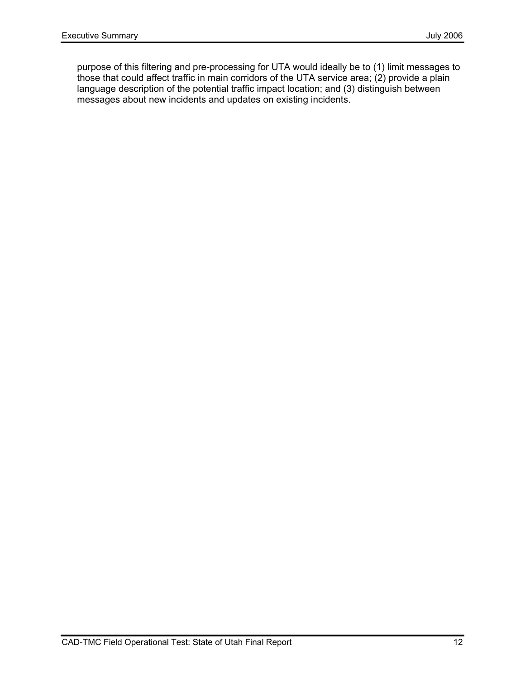purpose of this filtering and pre-processing for UTA would ideally be to (1) limit messages to those that could affect traffic in main corridors of the UTA service area; (2) provide a plain language description of the potential traffic impact location; and (3) distinguish between messages about new incidents and updates on existing incidents.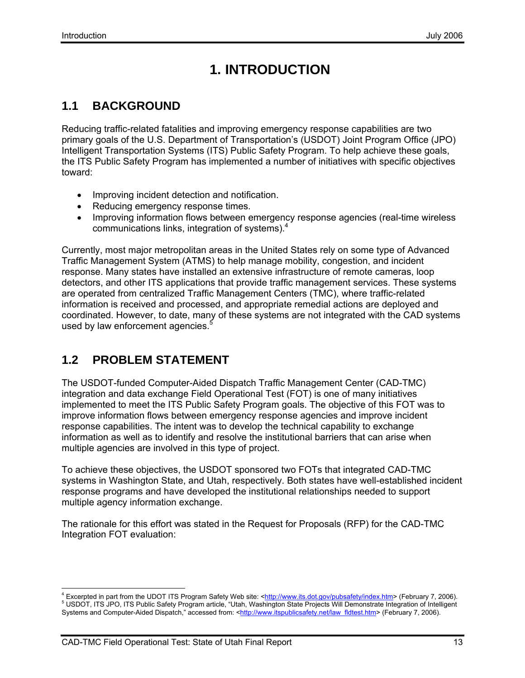# **1. INTRODUCTION**

# **1.1 BACKGROUND**

Reducing traffic-related fatalities and improving emergency response capabilities are two primary goals of the U.S. Department of Transportation's (USDOT) Joint Program Office (JPO) Intelligent Transportation Systems (ITS) Public Safety Program. To help achieve these goals, the ITS Public Safety Program has implemented a number of initiatives with specific objectives toward:

- Improving incident detection and notification.
- Reducing emergency response times.
- Improving information flows between emergency response agencies (real-time wireless communications links, integration of systems).4

Currently, most major metropolitan areas in the United States rely on some type of Advanced Traffic Management System (ATMS) to help manage mobility, congestion, and incident response. Many states have installed an extensive infrastructure of remote cameras, loop detectors, and other ITS applications that provide traffic management services. These systems are operated from centralized Traffic Management Centers (TMC), where traffic-related information is received and processed, and appropriate remedial actions are deployed and coordinated. However, to date, many of these systems are not integrated with the CAD systems used by law enforcement agencies.<sup>5</sup>

# **1.2 PROBLEM STATEMENT**

The USDOT-funded Computer-Aided Dispatch Traffic Management Center (CAD-TMC) integration and data exchange Field Operational Test (FOT) is one of many initiatives implemented to meet the ITS Public Safety Program goals. The objective of this FOT was to improve information flows between emergency response agencies and improve incident response capabilities. The intent was to develop the technical capability to exchange information as well as to identify and resolve the institutional barriers that can arise when multiple agencies are involved in this type of project.

To achieve these objectives, the USDOT sponsored two FOTs that integrated CAD-TMC systems in Washington State, and Utah, respectively. Both states have well-established incident response programs and have developed the institutional relationships needed to support multiple agency information exchange.

The rationale for this effort was stated in the Request for Proposals (RFP) for the CAD-TMC Integration FOT evaluation:

<sup>4&</sup>lt;br>A Excerpted in part from the UDOT ITS Program Safety Web site: <http://www.its.dot.gov/pubsafety/index.htm> (February 7, 2006). USDOT, ITS JPO, ITS Public Safety Program article, "Utah, Washington State Projects Will Demonstrate Integration of Intelligent Systems and Computer-Aided Dispatch," accessed from: <http://www.itspublicsafety.net/law\_fldtest.htm> (February 7, 2006).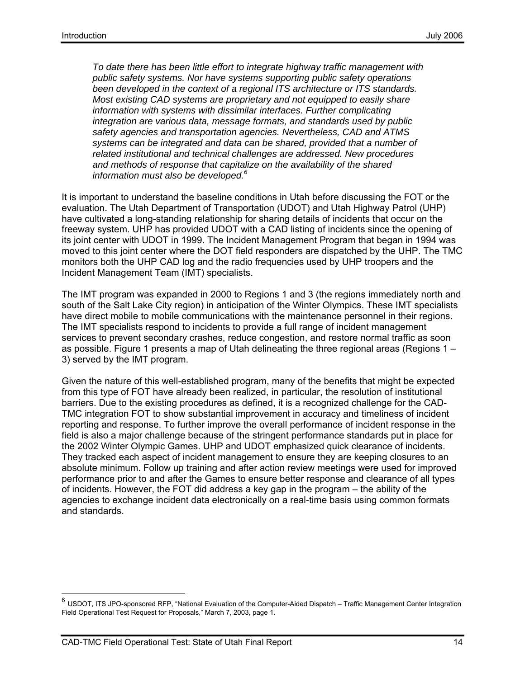*To date there has been little effort to integrate highway traffic management with public safety systems. Nor have systems supporting public safety operations been developed in the context of a regional ITS architecture or ITS standards. Most existing CAD systems are proprietary and not equipped to easily share information with systems with dissimilar interfaces. Further complicating integration are various data, message formats, and standards used by public safety agencies and transportation agencies. Nevertheless, CAD and ATMS systems can be integrated and data can be shared, provided that a number of related institutional and technical challenges are addressed. New procedures and methods of response that capitalize on the availability of the shared information must also be developed.<sup>6</sup>*

It is important to understand the baseline conditions in Utah before discussing the FOT or the evaluation. The Utah Department of Transportation (UDOT) and Utah Highway Patrol (UHP) have cultivated a long-standing relationship for sharing details of incidents that occur on the freeway system. UHP has provided UDOT with a CAD listing of incidents since the opening of its joint center with UDOT in 1999. The Incident Management Program that began in 1994 was moved to this joint center where the DOT field responders are dispatched by the UHP. The TMC monitors both the UHP CAD log and the radio frequencies used by UHP troopers and the Incident Management Team (IMT) specialists.

The IMT program was expanded in 2000 to Regions 1 and 3 (the regions immediately north and south of the Salt Lake City region) in anticipation of the Winter Olympics. These IMT specialists have direct mobile to mobile communications with the maintenance personnel in their regions. The IMT specialists respond to incidents to provide a full range of incident management services to prevent secondary crashes, reduce congestion, and restore normal traffic as soon as possible. Figure 1 presents a map of Utah delineating the three regional areas (Regions 1 – 3) served by the IMT program.

Given the nature of this well-established program, many of the benefits that might be expected from this type of FOT have already been realized, in particular, the resolution of institutional barriers. Due to the existing procedures as defined, it is a recognized challenge for the CAD-TMC integration FOT to show substantial improvement in accuracy and timeliness of incident reporting and response. To further improve the overall performance of incident response in the field is also a major challenge because of the stringent performance standards put in place for the 2002 Winter Olympic Games. UHP and UDOT emphasized quick clearance of incidents. They tracked each aspect of incident management to ensure they are keeping closures to an absolute minimum. Follow up training and after action review meetings were used for improved performance prior to and after the Games to ensure better response and clearance of all types of incidents. However, the FOT did address a key gap in the program – the ability of the agencies to exchange incident data electronically on a real-time basis using common formats and standards.

-

 $6$  USDOT, ITS JPO-sponsored RFP, "National Evaluation of the Computer-Aided Dispatch – Traffic Management Center Integration Field Operational Test Request for Proposals," March 7, 2003, page 1.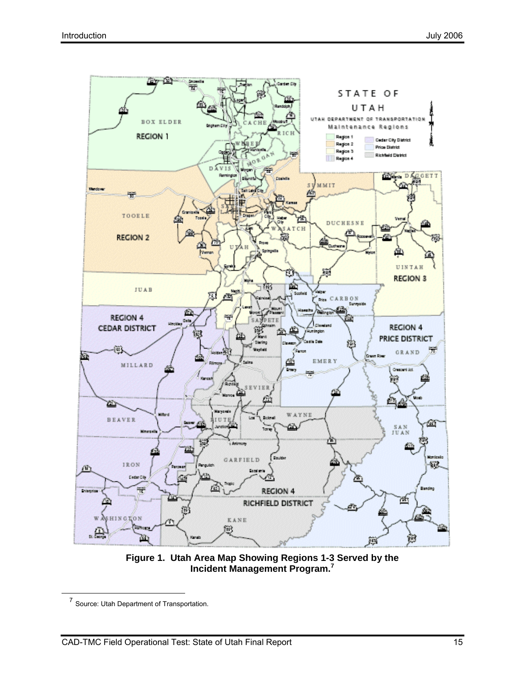

**Figure 1. Utah Area Map Showing Regions 1-3 Served by the Incident Management Program.<sup>7</sup>**

 <sup>7</sup> Source: Utah Department of Transportation.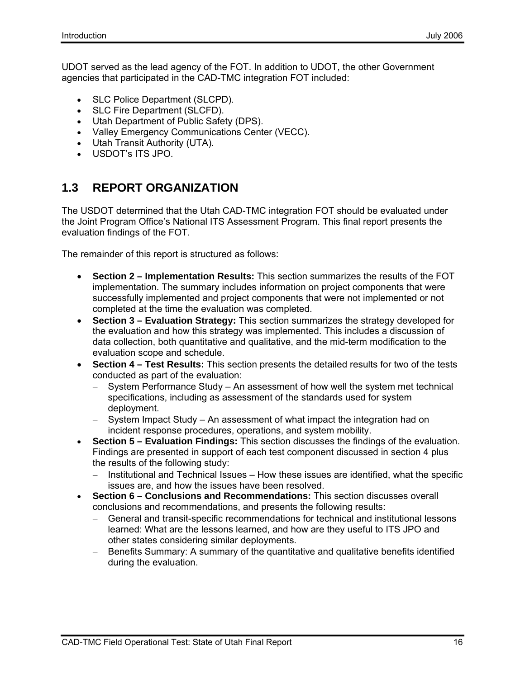UDOT served as the lead agency of the FOT. In addition to UDOT, the other Government agencies that participated in the CAD-TMC integration FOT included:

- SLC Police Department (SLCPD).
- SLC Fire Department (SLCFD).
- Utah Department of Public Safety (DPS).
- Valley Emergency Communications Center (VECC).
- Utah Transit Authority (UTA).
- USDOT's ITS JPO.

### **1.3 REPORT ORGANIZATION**

The USDOT determined that the Utah CAD-TMC integration FOT should be evaluated under the Joint Program Office's National ITS Assessment Program. This final report presents the evaluation findings of the FOT.

The remainder of this report is structured as follows:

- **Section 2 Implementation Results:** This section summarizes the results of the FOT implementation. The summary includes information on project components that were successfully implemented and project components that were not implemented or not completed at the time the evaluation was completed.
- **Section 3 Evaluation Strategy:** This section summarizes the strategy developed for the evaluation and how this strategy was implemented. This includes a discussion of data collection, both quantitative and qualitative, and the mid-term modification to the evaluation scope and schedule.
- **Section 4 Test Results:** This section presents the detailed results for two of the tests conducted as part of the evaluation:
	- − System Performance Study An assessment of how well the system met technical specifications, including as assessment of the standards used for system deployment.
	- − System Impact Study An assessment of what impact the integration had on incident response procedures, operations, and system mobility.
- **Section 5 Evaluation Findings:** This section discusses the findings of the evaluation. Findings are presented in support of each test component discussed in section 4 plus the results of the following study:
	- − Institutional and Technical Issues How these issues are identified, what the specific issues are, and how the issues have been resolved.
- **Section 6 Conclusions and Recommendations:** This section discusses overall conclusions and recommendations, and presents the following results:
	- − General and transit-specific recommendations for technical and institutional lessons learned: What are the lessons learned, and how are they useful to ITS JPO and other states considering similar deployments.
	- − Benefits Summary: A summary of the quantitative and qualitative benefits identified during the evaluation.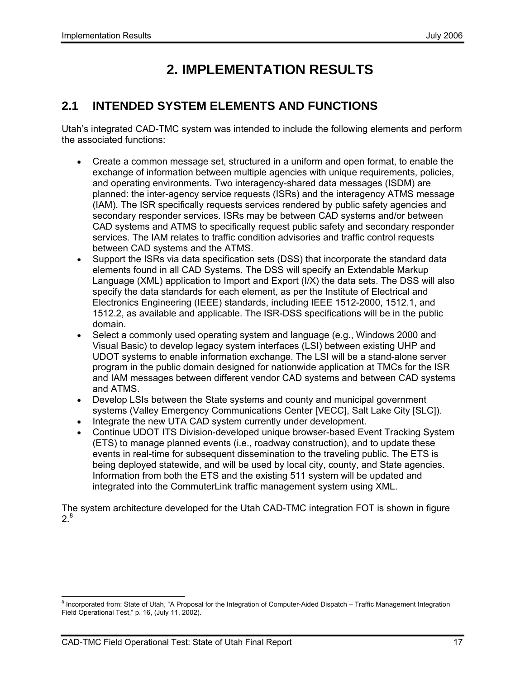# **2. IMPLEMENTATION RESULTS**

### **2.1 INTENDED SYSTEM ELEMENTS AND FUNCTIONS**

Utah's integrated CAD-TMC system was intended to include the following elements and perform the associated functions:

- Create a common message set, structured in a uniform and open format, to enable the exchange of information between multiple agencies with unique requirements, policies, and operating environments. Two interagency-shared data messages (ISDM) are planned: the inter-agency service requests (ISRs) and the interagency ATMS message (IAM). The ISR specifically requests services rendered by public safety agencies and secondary responder services. ISRs may be between CAD systems and/or between CAD systems and ATMS to specifically request public safety and secondary responder services. The IAM relates to traffic condition advisories and traffic control requests between CAD systems and the ATMS.
- Support the ISRs via data specification sets (DSS) that incorporate the standard data elements found in all CAD Systems. The DSS will specify an Extendable Markup Language (XML) application to Import and Export (I/X) the data sets. The DSS will also specify the data standards for each element, as per the Institute of Electrical and Electronics Engineering (IEEE) standards, including IEEE 1512-2000, 1512.1, and 1512.2, as available and applicable. The ISR-DSS specifications will be in the public domain.
- Select a commonly used operating system and language (e.g., Windows 2000 and Visual Basic) to develop legacy system interfaces (LSI) between existing UHP and UDOT systems to enable information exchange. The LSI will be a stand-alone server program in the public domain designed for nationwide application at TMCs for the ISR and IAM messages between different vendor CAD systems and between CAD systems and ATMS.
- Develop LSIs between the State systems and county and municipal government systems (Valley Emergency Communications Center [VECC], Salt Lake City [SLC]).
- Integrate the new UTA CAD system currently under development.
- Continue UDOT ITS Division-developed unique browser-based Event Tracking System (ETS) to manage planned events (i.e., roadway construction), and to update these events in real-time for subsequent dissemination to the traveling public. The ETS is being deployed statewide, and will be used by local city, county, and State agencies. Information from both the ETS and the existing 511 system will be updated and integrated into the CommuterLink traffic management system using XML.

The system architecture developed for the Utah CAD-TMC integration FOT is shown in figure  $2^8$ 

 8 Incorporated from: State of Utah, "A Proposal for the Integration of Computer-Aided Dispatch – Traffic Management Integration Field Operational Test," p. 16, (July 11, 2002).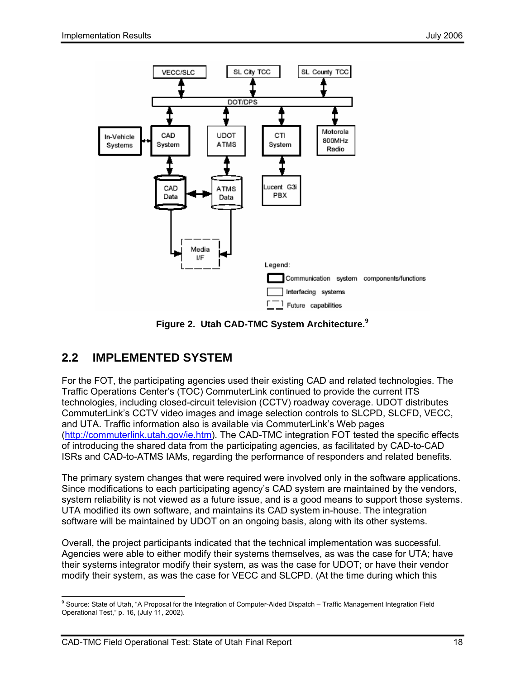

**Figure 2. Utah CAD-TMC System Architecture.9**

# **2.2 IMPLEMENTED SYSTEM**

For the FOT, the participating agencies used their existing CAD and related technologies. The Traffic Operations Center's (TOC) CommuterLink continued to provide the current ITS technologies, including closed-circuit television (CCTV) roadway coverage. UDOT distributes CommuterLink's CCTV video images and image selection controls to SLCPD, SLCFD, VECC, and UTA. Traffic information also is available via CommuterLink's Web pages (http://commuterlink.utah.gov/ie.htm). The CAD-TMC integration FOT tested the specific effects of introducing the shared data from the participating agencies, as facilitated by CAD-to-CAD ISRs and CAD-to-ATMS IAMs, regarding the performance of responders and related benefits.

The primary system changes that were required were involved only in the software applications. Since modifications to each participating agency's CAD system are maintained by the vendors, system reliability is not viewed as a future issue, and is a good means to support those systems. UTA modified its own software, and maintains its CAD system in-house. The integration software will be maintained by UDOT on an ongoing basis, along with its other systems.

Overall, the project participants indicated that the technical implementation was successful. Agencies were able to either modify their systems themselves, as was the case for UTA; have their systems integrator modify their system, as was the case for UDOT; or have their vendor modify their system, as was the case for VECC and SLCPD. (At the time during which this

 9 Source: State of Utah, "A Proposal for the Integration of Computer-Aided Dispatch – Traffic Management Integration Field Operational Test," p. 16, (July 11, 2002).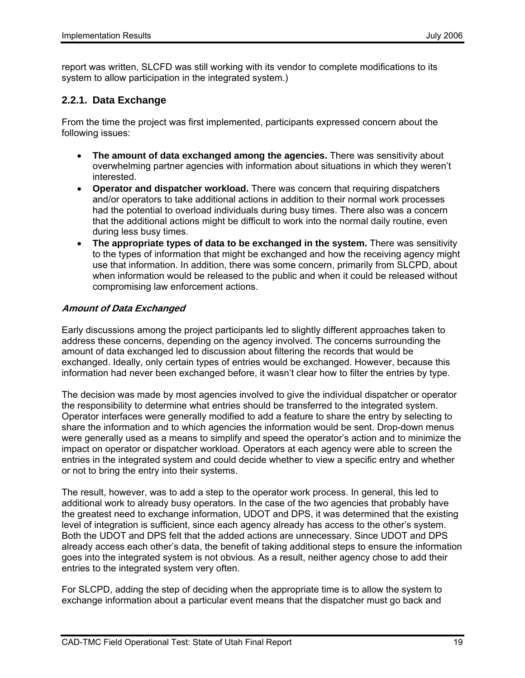report was written, SLCFD was still working with its vendor to complete modifications to its system to allow participation in the integrated system.)

#### **2.2.1. Data Exchange**

From the time the project was first implemented, participants expressed concern about the following issues:

- **The amount of data exchanged among the agencies.** There was sensitivity about overwhelming partner agencies with information about situations in which they weren't interested.
- **Operator and dispatcher workload.** There was concern that requiring dispatchers and/or operators to take additional actions in addition to their normal work processes had the potential to overload individuals during busy times. There also was a concern that the additional actions might be difficult to work into the normal daily routine, even during less busy times.
- **The appropriate types of data to be exchanged in the system.** There was sensitivity to the types of information that might be exchanged and how the receiving agency might use that information. In addition, there was some concern, primarily from SLCPD, about when information would be released to the public and when it could be released without compromising law enforcement actions.

#### **Amount of Data Exchanged**

Early discussions among the project participants led to slightly different approaches taken to address these concerns, depending on the agency involved. The concerns surrounding the amount of data exchanged led to discussion about filtering the records that would be exchanged. Ideally, only certain types of entries would be exchanged. However, because this information had never been exchanged before, it wasn't clear how to filter the entries by type.

The decision was made by most agencies involved to give the individual dispatcher or operator the responsibility to determine what entries should be transferred to the integrated system. Operator interfaces were generally modified to add a feature to share the entry by selecting to share the information and to which agencies the information would be sent. Drop-down menus were generally used as a means to simplify and speed the operator's action and to minimize the impact on operator or dispatcher workload. Operators at each agency were able to screen the entries in the integrated system and could decide whether to view a specific entry and whether or not to bring the entry into their systems.

The result, however, was to add a step to the operator work process. In general, this led to additional work to already busy operators. In the case of the two agencies that probably have the greatest need to exchange information, UDOT and DPS, it was determined that the existing level of integration is sufficient, since each agency already has access to the other's system. Both the UDOT and DPS felt that the added actions are unnecessary. Since UDOT and DPS already access each other's data, the benefit of taking additional steps to ensure the information goes into the integrated system is not obvious. As a result, neither agency chose to add their entries to the integrated system very often.

For SLCPD, adding the step of deciding when the appropriate time is to allow the system to exchange information about a particular event means that the dispatcher must go back and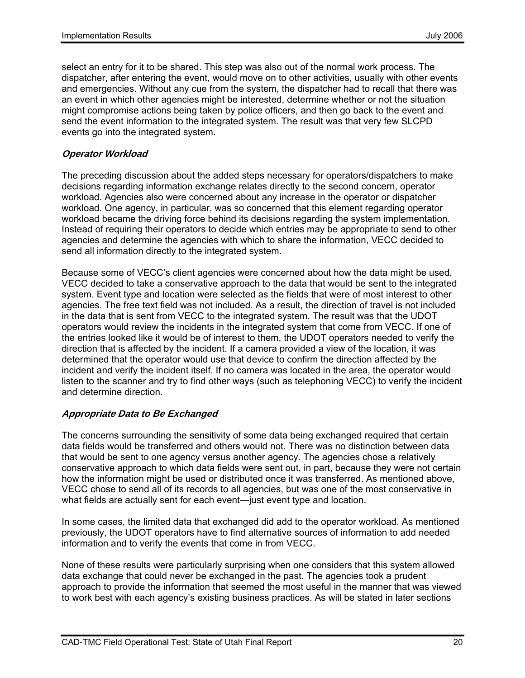select an entry for it to be shared. This step was also out of the normal work process. The dispatcher, after entering the event, would move on to other activities, usually with other events and emergencies. Without any cue from the system, the dispatcher had to recall that there was an event in which other agencies might be interested, determine whether or not the situation might compromise actions being taken by police officers, and then go back to the event and send the event information to the integrated system. The result was that very few SLCPD events go into the integrated system.

#### **Operator Workload**

The preceding discussion about the added steps necessary for operators/dispatchers to make decisions regarding information exchange relates directly to the second concern, operator workload. Agencies also were concerned about any increase in the operator or dispatcher workload. One agency, in particular, was so concerned that this element regarding operator workload became the driving force behind its decisions regarding the system implementation. Instead of requiring their operators to decide which entries may be appropriate to send to other agencies and determine the agencies with which to share the information, VECC decided to send all information directly to the integrated system.

Because some of VECC's client agencies were concerned about how the data might be used, VECC decided to take a conservative approach to the data that would be sent to the integrated system. Event type and location were selected as the fields that were of most interest to other agencies. The free text field was not included. As a result, the direction of travel is not included in the data that is sent from VECC to the integrated system. The result was that the UDOT operators would review the incidents in the integrated system that come from VECC. If one of the entries looked like it would be of interest to them, the UDOT operators needed to verify the direction that is affected by the incident. If a camera provided a view of the location, it was determined that the operator would use that device to confirm the direction affected by the incident and verify the incident itself. If no camera was located in the area, the operator would listen to the scanner and try to find other ways (such as telephoning VECC) to verify the incident and determine direction.

#### **Appropriate Data to Be Exchanged**

The concerns surrounding the sensitivity of some data being exchanged required that certain data fields would be transferred and others would not. There was no distinction between data that would be sent to one agency versus another agency. The agencies chose a relatively conservative approach to which data fields were sent out, in part, because they were not certain how the information might be used or distributed once it was transferred. As mentioned above, VECC chose to send all of its records to all agencies, but was one of the most conservative in what fields are actually sent for each event—just event type and location.

In some cases, the limited data that exchanged did add to the operator workload. As mentioned previously, the UDOT operators have to find alternative sources of information to add needed information and to verify the events that come in from VECC.

None of these results were particularly surprising when one considers that this system allowed data exchange that could never be exchanged in the past. The agencies took a prudent approach to provide the information that seemed the most useful in the manner that was viewed to work best with each agency's existing business practices. As will be stated in later sections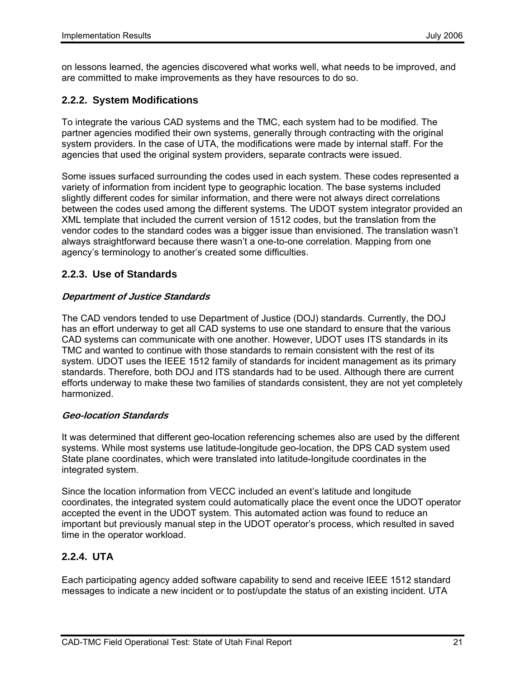on lessons learned, the agencies discovered what works well, what needs to be improved, and are committed to make improvements as they have resources to do so.

### **2.2.2. System Modifications**

To integrate the various CAD systems and the TMC, each system had to be modified. The partner agencies modified their own systems, generally through contracting with the original system providers. In the case of UTA, the modifications were made by internal staff. For the agencies that used the original system providers, separate contracts were issued.

Some issues surfaced surrounding the codes used in each system. These codes represented a variety of information from incident type to geographic location. The base systems included slightly different codes for similar information, and there were not always direct correlations between the codes used among the different systems. The UDOT system integrator provided an XML template that included the current version of 1512 codes, but the translation from the vendor codes to the standard codes was a bigger issue than envisioned. The translation wasn't always straightforward because there wasn't a one-to-one correlation. Mapping from one agency's terminology to another's created some difficulties.

### **2.2.3. Use of Standards**

#### **Department of Justice Standards**

The CAD vendors tended to use Department of Justice (DOJ) standards. Currently, the DOJ has an effort underway to get all CAD systems to use one standard to ensure that the various CAD systems can communicate with one another. However, UDOT uses ITS standards in its TMC and wanted to continue with those standards to remain consistent with the rest of its system. UDOT uses the IEEE 1512 family of standards for incident management as its primary standards. Therefore, both DOJ and ITS standards had to be used. Although there are current efforts underway to make these two families of standards consistent, they are not yet completely harmonized.

#### **Geo-location Standards**

It was determined that different geo-location referencing schemes also are used by the different systems. While most systems use latitude-longitude geo-location, the DPS CAD system used State plane coordinates, which were translated into latitude-longitude coordinates in the integrated system.

Since the location information from VECC included an event's latitude and longitude coordinates, the integrated system could automatically place the event once the UDOT operator accepted the event in the UDOT system. This automated action was found to reduce an important but previously manual step in the UDOT operator's process, which resulted in saved time in the operator workload.

### **2.2.4. UTA**

Each participating agency added software capability to send and receive IEEE 1512 standard messages to indicate a new incident or to post/update the status of an existing incident. UTA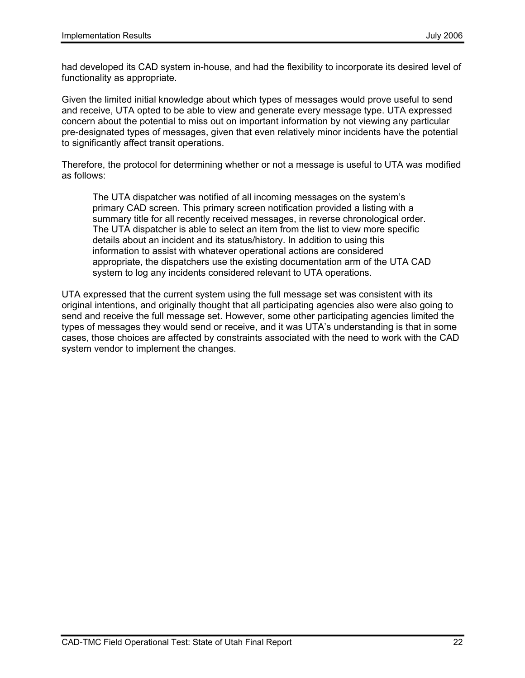had developed its CAD system in-house, and had the flexibility to incorporate its desired level of functionality as appropriate.

Given the limited initial knowledge about which types of messages would prove useful to send and receive, UTA opted to be able to view and generate every message type. UTA expressed concern about the potential to miss out on important information by not viewing any particular pre-designated types of messages, given that even relatively minor incidents have the potential to significantly affect transit operations.

Therefore, the protocol for determining whether or not a message is useful to UTA was modified as follows:

The UTA dispatcher was notified of all incoming messages on the system's primary CAD screen. This primary screen notification provided a listing with a summary title for all recently received messages, in reverse chronological order. The UTA dispatcher is able to select an item from the list to view more specific details about an incident and its status/history. In addition to using this information to assist with whatever operational actions are considered appropriate, the dispatchers use the existing documentation arm of the UTA CAD system to log any incidents considered relevant to UTA operations.

UTA expressed that the current system using the full message set was consistent with its original intentions, and originally thought that all participating agencies also were also going to send and receive the full message set. However, some other participating agencies limited the types of messages they would send or receive, and it was UTA's understanding is that in some cases, those choices are affected by constraints associated with the need to work with the CAD system vendor to implement the changes.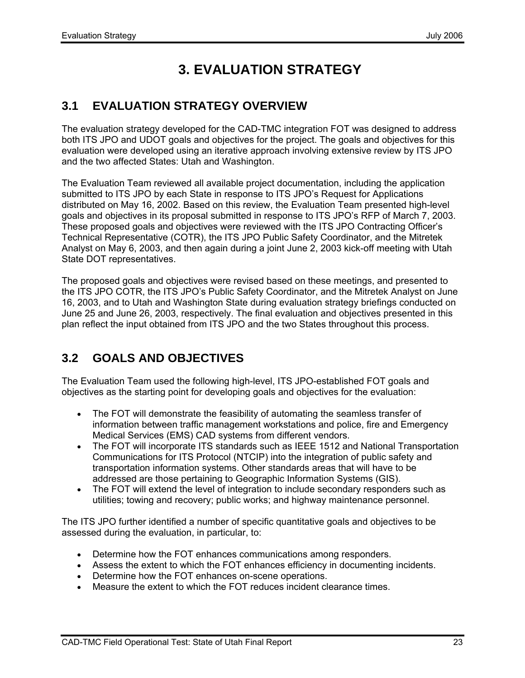# **3. EVALUATION STRATEGY**

## **3.1 EVALUATION STRATEGY OVERVIEW**

The evaluation strategy developed for the CAD-TMC integration FOT was designed to address both ITS JPO and UDOT goals and objectives for the project. The goals and objectives for this evaluation were developed using an iterative approach involving extensive review by ITS JPO and the two affected States: Utah and Washington.

The Evaluation Team reviewed all available project documentation, including the application submitted to ITS JPO by each State in response to ITS JPO's Request for Applications distributed on May 16, 2002. Based on this review, the Evaluation Team presented high-level goals and objectives in its proposal submitted in response to ITS JPO's RFP of March 7, 2003. These proposed goals and objectives were reviewed with the ITS JPO Contracting Officer's Technical Representative (COTR), the ITS JPO Public Safety Coordinator, and the Mitretek Analyst on May 6, 2003, and then again during a joint June 2, 2003 kick-off meeting with Utah State DOT representatives.

The proposed goals and objectives were revised based on these meetings, and presented to the ITS JPO COTR, the ITS JPO's Public Safety Coordinator, and the Mitretek Analyst on June 16, 2003, and to Utah and Washington State during evaluation strategy briefings conducted on June 25 and June 26, 2003, respectively. The final evaluation and objectives presented in this plan reflect the input obtained from ITS JPO and the two States throughout this process.

# **3.2 GOALS AND OBJECTIVES**

The Evaluation Team used the following high-level, ITS JPO-established FOT goals and objectives as the starting point for developing goals and objectives for the evaluation:

- The FOT will demonstrate the feasibility of automating the seamless transfer of information between traffic management workstations and police, fire and Emergency Medical Services (EMS) CAD systems from different vendors.
- The FOT will incorporate ITS standards such as IEEE 1512 and National Transportation Communications for ITS Protocol (NTCIP) into the integration of public safety and transportation information systems. Other standards areas that will have to be addressed are those pertaining to Geographic Information Systems (GIS).
- The FOT will extend the level of integration to include secondary responders such as utilities; towing and recovery; public works; and highway maintenance personnel.

The ITS JPO further identified a number of specific quantitative goals and objectives to be assessed during the evaluation, in particular, to:

- Determine how the FOT enhances communications among responders.
- Assess the extent to which the FOT enhances efficiency in documenting incidents.
- Determine how the FOT enhances on-scene operations.
- Measure the extent to which the FOT reduces incident clearance times.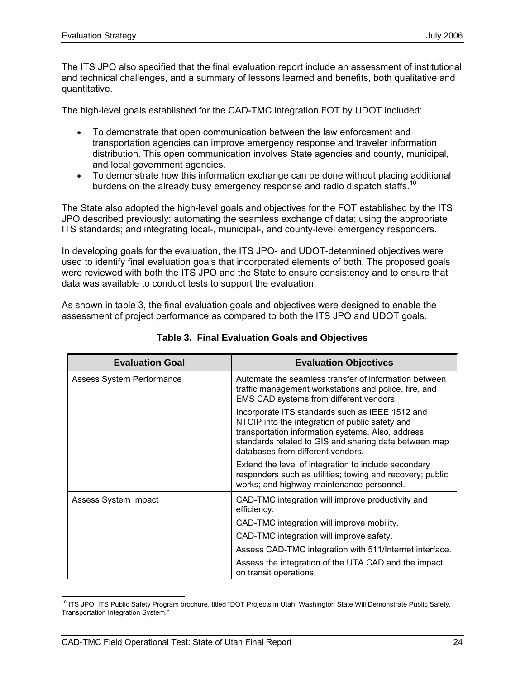The ITS JPO also specified that the final evaluation report include an assessment of institutional and technical challenges, and a summary of lessons learned and benefits, both qualitative and quantitative.

The high-level goals established for the CAD-TMC integration FOT by UDOT included:

- To demonstrate that open communication between the law enforcement and transportation agencies can improve emergency response and traveler information distribution. This open communication involves State agencies and county, municipal, and local government agencies.
- To demonstrate how this information exchange can be done without placing additional burdens on the already busy emergency response and radio dispatch staffs.<sup>10</sup>

The State also adopted the high-level goals and objectives for the FOT established by the ITS JPO described previously: automating the seamless exchange of data; using the appropriate ITS standards; and integrating local-, municipal-, and county-level emergency responders.

In developing goals for the evaluation, the ITS JPO- and UDOT-determined objectives were used to identify final evaluation goals that incorporated elements of both. The proposed goals were reviewed with both the ITS JPO and the State to ensure consistency and to ensure that data was available to conduct tests to support the evaluation.

As shown in table 3, the final evaluation goals and objectives were designed to enable the assessment of project performance as compared to both the ITS JPO and UDOT goals.

| <b>Evaluation Goal</b>    | <b>Evaluation Objectives</b>                                                                                                                                                                                                                          |
|---------------------------|-------------------------------------------------------------------------------------------------------------------------------------------------------------------------------------------------------------------------------------------------------|
| Assess System Performance | Automate the seamless transfer of information between<br>traffic management workstations and police, fire, and<br>EMS CAD systems from different vendors.                                                                                             |
|                           | Incorporate ITS standards such as IEEE 1512 and<br>NTCIP into the integration of public safety and<br>transportation information systems. Also, address<br>standards related to GIS and sharing data between map<br>databases from different vendors. |
|                           | Extend the level of integration to include secondary<br>responders such as utilities; towing and recovery; public<br>works; and highway maintenance personnel.                                                                                        |
| Assess System Impact      | CAD-TMC integration will improve productivity and<br>efficiency.                                                                                                                                                                                      |
|                           | CAD-TMC integration will improve mobility.                                                                                                                                                                                                            |
|                           | CAD-TMC integration will improve safety.                                                                                                                                                                                                              |
|                           | Assess CAD-TMC integration with 511/Internet interface.                                                                                                                                                                                               |
|                           | Assess the integration of the UTA CAD and the impact<br>on transit operations.                                                                                                                                                                        |

**Table 3. Final Evaluation Goals and Objectives** 

 $\overline{a}$ <sup>10</sup> ITS JPO, ITS Public Safety Program brochure, titled "DOT Projects in Utah, Washington State Will Demonstrate Public Safety, Transportation Integration System."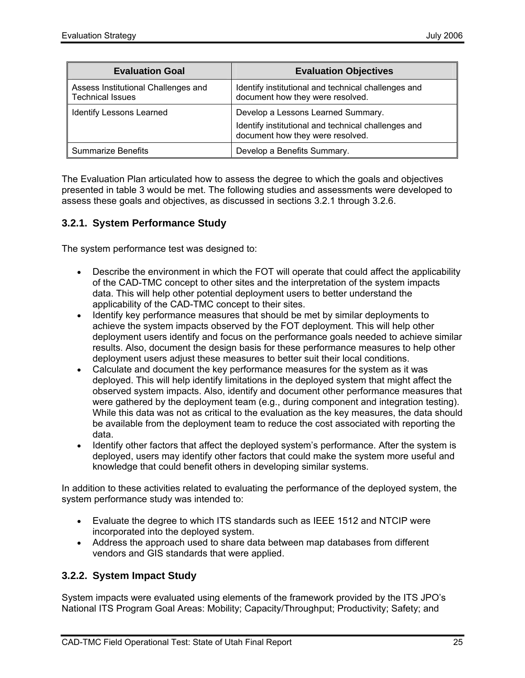| <b>Evaluation Goal</b>                                         | <b>Evaluation Objectives</b>                                                                                                  |
|----------------------------------------------------------------|-------------------------------------------------------------------------------------------------------------------------------|
| Assess Institutional Challenges and<br><b>Technical Issues</b> | Identify institutional and technical challenges and<br>document how they were resolved.                                       |
| <b>Identify Lessons Learned</b>                                | Develop a Lessons Learned Summary.<br>Identify institutional and technical challenges and<br>document how they were resolved. |
| <b>Summarize Benefits</b>                                      | Develop a Benefits Summary.                                                                                                   |

The Evaluation Plan articulated how to assess the degree to which the goals and objectives presented in table 3 would be met. The following studies and assessments were developed to assess these goals and objectives, as discussed in sections 3.2.1 through 3.2.6.

#### **3.2.1. System Performance Study**

The system performance test was designed to:

- Describe the environment in which the FOT will operate that could affect the applicability of the CAD-TMC concept to other sites and the interpretation of the system impacts data. This will help other potential deployment users to better understand the applicability of the CAD-TMC concept to their sites.
- Identify key performance measures that should be met by similar deployments to achieve the system impacts observed by the FOT deployment. This will help other deployment users identify and focus on the performance goals needed to achieve similar results. Also, document the design basis for these performance measures to help other deployment users adjust these measures to better suit their local conditions.
- Calculate and document the key performance measures for the system as it was deployed. This will help identify limitations in the deployed system that might affect the observed system impacts. Also, identify and document other performance measures that were gathered by the deployment team (e.g., during component and integration testing). While this data was not as critical to the evaluation as the key measures, the data should be available from the deployment team to reduce the cost associated with reporting the data.
- Identify other factors that affect the deployed system's performance. After the system is deployed, users may identify other factors that could make the system more useful and knowledge that could benefit others in developing similar systems.

In addition to these activities related to evaluating the performance of the deployed system, the system performance study was intended to:

- Evaluate the degree to which ITS standards such as IEEE 1512 and NTCIP were incorporated into the deployed system.
- Address the approach used to share data between map databases from different vendors and GIS standards that were applied.

#### **3.2.2. System Impact Study**

System impacts were evaluated using elements of the framework provided by the ITS JPO's National ITS Program Goal Areas: Mobility; Capacity/Throughput; Productivity; Safety; and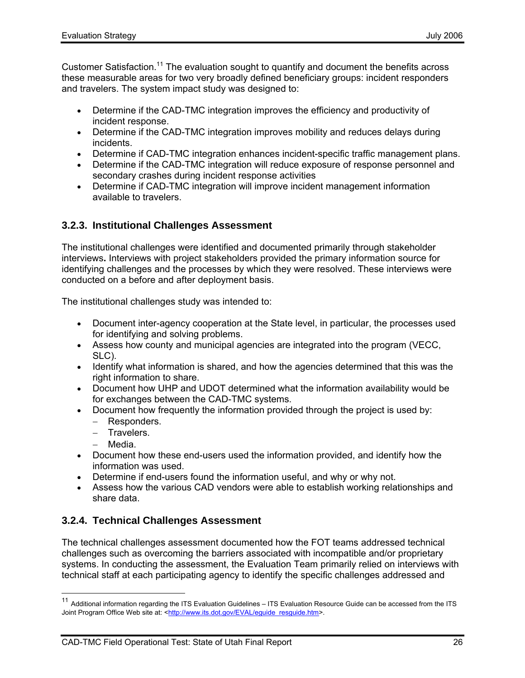Customer Satisfaction.11 The evaluation sought to quantify and document the benefits across these measurable areas for two very broadly defined beneficiary groups: incident responders and travelers. The system impact study was designed to:

- Determine if the CAD-TMC integration improves the efficiency and productivity of incident response.
- Determine if the CAD-TMC integration improves mobility and reduces delays during incidents.
- Determine if CAD-TMC integration enhances incident-specific traffic management plans.
- Determine if the CAD-TMC integration will reduce exposure of response personnel and secondary crashes during incident response activities
- Determine if CAD-TMC integration will improve incident management information available to travelers.

### **3.2.3. Institutional Challenges Assessment**

The institutional challenges were identified and documented primarily through stakeholder interviews**.** Interviews with project stakeholders provided the primary information source for identifying challenges and the processes by which they were resolved. These interviews were conducted on a before and after deployment basis.

The institutional challenges study was intended to:

- Document inter-agency cooperation at the State level, in particular, the processes used for identifying and solving problems.
- Assess how county and municipal agencies are integrated into the program (VECC, SLC).
- Identify what information is shared, and how the agencies determined that this was the right information to share.
- Document how UHP and UDOT determined what the information availability would be for exchanges between the CAD-TMC systems.
- Document how frequently the information provided through the project is used by:
	- − Responders.
	- − Travelers.
	- − Media.

- Document how these end-users used the information provided, and identify how the information was used.
- Determine if end-users found the information useful, and why or why not.
- Assess how the various CAD vendors were able to establish working relationships and share data.

### **3.2.4. Technical Challenges Assessment**

The technical challenges assessment documented how the FOT teams addressed technical challenges such as overcoming the barriers associated with incompatible and/or proprietary systems. In conducting the assessment, the Evaluation Team primarily relied on interviews with technical staff at each participating agency to identify the specific challenges addressed and

<sup>11</sup> Additional information regarding the ITS Evaluation Guidelines – ITS Evaluation Resource Guide can be accessed from the ITS Joint Program Office Web site at: <http://www.its.dot.gov/EVAL/eguide\_resguide.htm>.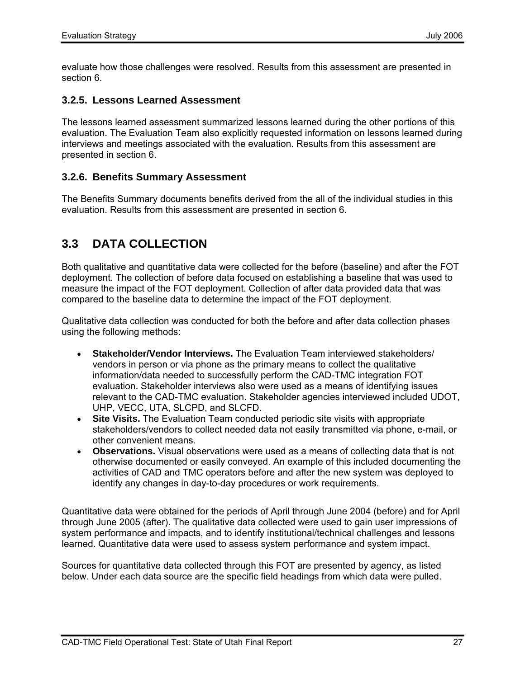evaluate how those challenges were resolved. Results from this assessment are presented in section 6.

#### **3.2.5. Lessons Learned Assessment**

The lessons learned assessment summarized lessons learned during the other portions of this evaluation. The Evaluation Team also explicitly requested information on lessons learned during interviews and meetings associated with the evaluation. Results from this assessment are presented in section 6.

#### **3.2.6. Benefits Summary Assessment**

The Benefits Summary documents benefits derived from the all of the individual studies in this evaluation. Results from this assessment are presented in section 6.

## **3.3 DATA COLLECTION**

Both qualitative and quantitative data were collected for the before (baseline) and after the FOT deployment. The collection of before data focused on establishing a baseline that was used to measure the impact of the FOT deployment. Collection of after data provided data that was compared to the baseline data to determine the impact of the FOT deployment.

Qualitative data collection was conducted for both the before and after data collection phases using the following methods:

- **Stakeholder/Vendor Interviews.** The Evaluation Team interviewed stakeholders/ vendors in person or via phone as the primary means to collect the qualitative information/data needed to successfully perform the CAD-TMC integration FOT evaluation. Stakeholder interviews also were used as a means of identifying issues relevant to the CAD-TMC evaluation. Stakeholder agencies interviewed included UDOT, UHP, VECC, UTA, SLCPD, and SLCFD.
- **Site Visits.** The Evaluation Team conducted periodic site visits with appropriate stakeholders/vendors to collect needed data not easily transmitted via phone, e-mail, or other convenient means.
- **Observations.** Visual observations were used as a means of collecting data that is not otherwise documented or easily conveyed. An example of this included documenting the activities of CAD and TMC operators before and after the new system was deployed to identify any changes in day-to-day procedures or work requirements.

Quantitative data were obtained for the periods of April through June 2004 (before) and for April through June 2005 (after). The qualitative data collected were used to gain user impressions of system performance and impacts, and to identify institutional/technical challenges and lessons learned. Quantitative data were used to assess system performance and system impact.

Sources for quantitative data collected through this FOT are presented by agency, as listed below. Under each data source are the specific field headings from which data were pulled.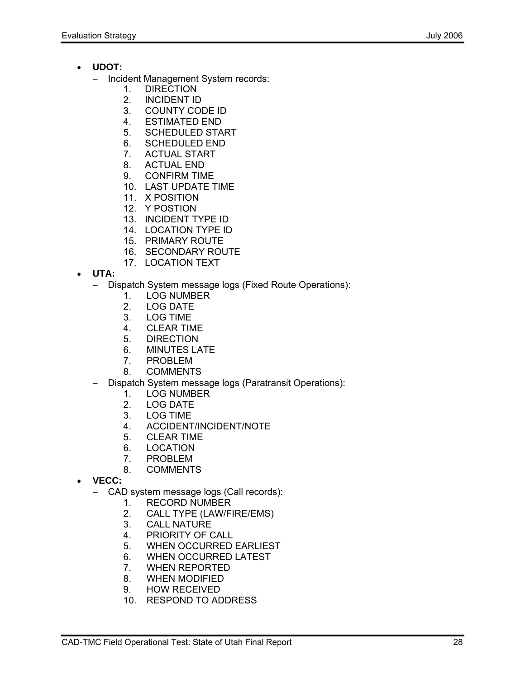- **UDOT:**
	- − Incident Management System records:
		- 1. DIRECTION
		- 2. INCIDENT ID
		- 3. COUNTY CODE ID
		- 4. ESTIMATED END
		- 5. SCHEDULED START
		- 6. SCHEDULED END
		- 7. ACTUAL START
		- 8. ACTUAL END
		- 9. CONFIRM TIME
		- 10. LAST UPDATE TIME
		- 11. X POSITION
		- 12. Y POSTION
		- 13. INCIDENT TYPE ID
		- 14. LOCATION TYPE ID
		- 15. PRIMARY ROUTE
		- 16. SECONDARY ROUTE
		- 17. LOCATION TEXT
- **UTA:** 
	- − Dispatch System message logs (Fixed Route Operations):
		- 1. LOG NUMBER
		- 2. LOG DATE
		- 3. LOG TIME
		- 4. CLEAR TIME
		- 5. DIRECTION
		- 6. MINUTES LATE
		- 7. PROBLEM
		- 8. COMMENTS
	- − Dispatch System message logs (Paratransit Operations):
		- 1. LOG NUMBER
		- 2. LOG DATE
		- 3. LOG TIME
		- 4. ACCIDENT/INCIDENT/NOTE
		- 5. CLEAR TIME
		- 6. LOCATION
		- 7. PROBLEM
		- 8. COMMENTS
- **VECC:** 
	- − CAD system message logs (Call records):
		- 1. RECORD NUMBER
		- 2. CALL TYPE (LAW/FIRE/EMS)
		- 3. CALL NATURE
		- 4. PRIORITY OF CALL
		- 5. WHEN OCCURRED EARLIEST
		- 6. WHEN OCCURRED LATEST
		- 7. WHEN REPORTED
		- 8. WHEN MODIFIED
		- 9. HOW RECEIVED
		- 10. RESPOND TO ADDRESS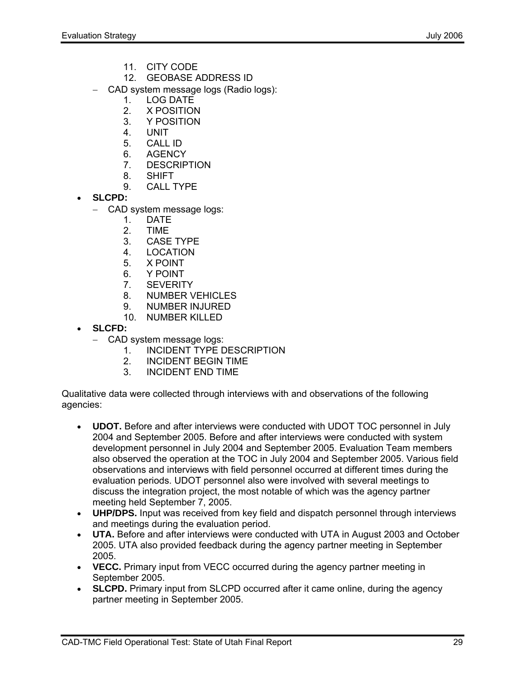- 11. CITY CODE
- 12. GEOBASE ADDRESS ID
- − CAD system message logs (Radio logs):
	- 1. LOG DATE
	- 2. X POSITION
	- 3. Y POSITION
	- 4. UNIT
	- 5. CALL ID
	- 6. AGENCY
	- 7. DESCRIPTION
	- 8. SHIFT
	- 9. CALL TYPE
- **SLCPD:** 
	- − CAD system message logs:
		- 1. DATE
			- 2. TIME
		- 3. CASE TYPE
		- 4. LOCATION
		- 5. X POINT
		- 6. Y POINT
		- 7. SEVERITY
		- 8. NUMBER VEHICLES
		- 9. NUMBER INJURED
		- 10. NUMBER KILLED
- **SLCFD:**
	- − CAD system message logs:
		- 1. INCIDENT TYPE DESCRIPTION
		- 2. INCIDENT BEGIN TIME<br>3 INCIDENT END TIME
		- 3. INCIDENT END TIME

Qualitative data were collected through interviews with and observations of the following agencies:

- **UDOT.** Before and after interviews were conducted with UDOT TOC personnel in July 2004 and September 2005. Before and after interviews were conducted with system development personnel in July 2004 and September 2005. Evaluation Team members also observed the operation at the TOC in July 2004 and September 2005. Various field observations and interviews with field personnel occurred at different times during the evaluation periods. UDOT personnel also were involved with several meetings to discuss the integration project, the most notable of which was the agency partner meeting held September 7, 2005.
- **UHP/DPS.** Input was received from key field and dispatch personnel through interviews and meetings during the evaluation period.
- **UTA.** Before and after interviews were conducted with UTA in August 2003 and October 2005. UTA also provided feedback during the agency partner meeting in September 2005.
- **VECC.** Primary input from VECC occurred during the agency partner meeting in September 2005.
- **SLCPD.** Primary input from SLCPD occurred after it came online, during the agency partner meeting in September 2005.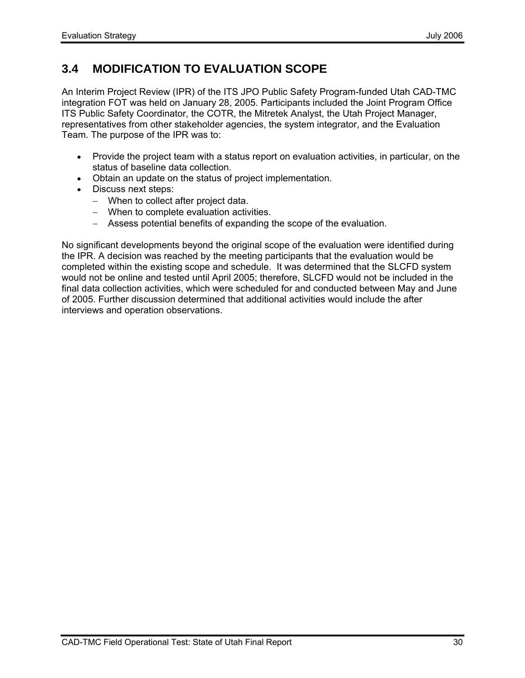# **3.4 MODIFICATION TO EVALUATION SCOPE**

An Interim Project Review (IPR) of the ITS JPO Public Safety Program-funded Utah CAD-TMC integration FOT was held on January 28, 2005. Participants included the Joint Program Office ITS Public Safety Coordinator, the COTR, the Mitretek Analyst, the Utah Project Manager, representatives from other stakeholder agencies, the system integrator, and the Evaluation Team. The purpose of the IPR was to:

- Provide the project team with a status report on evaluation activities, in particular, on the status of baseline data collection.
- Obtain an update on the status of project implementation.
- Discuss next steps:
	- − When to collect after project data.
	- − When to complete evaluation activities.
	- − Assess potential benefits of expanding the scope of the evaluation.

No significant developments beyond the original scope of the evaluation were identified during the IPR. A decision was reached by the meeting participants that the evaluation would be completed within the existing scope and schedule. It was determined that the SLCFD system would not be online and tested until April 2005; therefore, SLCFD would not be included in the final data collection activities, which were scheduled for and conducted between May and June of 2005. Further discussion determined that additional activities would include the after interviews and operation observations.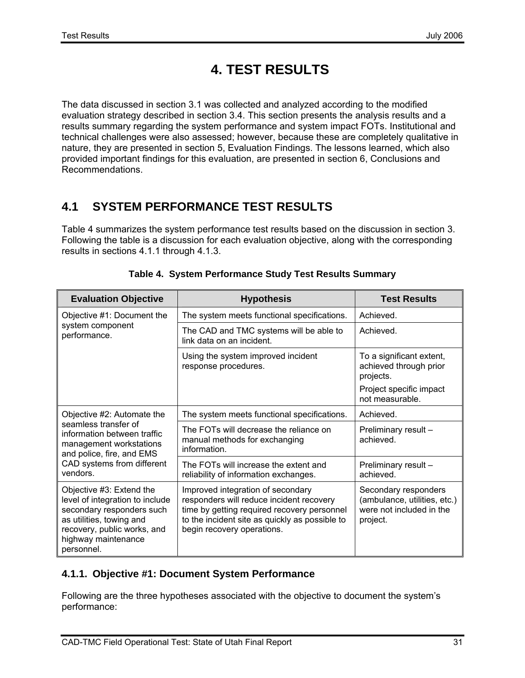# **4. TEST RESULTS**

The data discussed in section 3.1 was collected and analyzed according to the modified evaluation strategy described in section 3.4. This section presents the analysis results and a results summary regarding the system performance and system impact FOTs. Institutional and technical challenges were also assessed; however, because these are completely qualitative in nature, they are presented in section 5, Evaluation Findings. The lessons learned, which also provided important findings for this evaluation, are presented in section 6, Conclusions and Recommendations.

# **4.1 SYSTEM PERFORMANCE TEST RESULTS**

Table 4 summarizes the system performance test results based on the discussion in section 3. Following the table is a discussion for each evaluation objective, along with the corresponding results in sections 4.1.1 through 4.1.3.

| <b>Evaluation Objective</b>                                                                                                                                                              | <b>Hypothesis</b>                                                                                                                                                                                            | <b>Test Results</b>                                                                          |
|------------------------------------------------------------------------------------------------------------------------------------------------------------------------------------------|--------------------------------------------------------------------------------------------------------------------------------------------------------------------------------------------------------------|----------------------------------------------------------------------------------------------|
| Objective #1: Document the                                                                                                                                                               | The system meets functional specifications.                                                                                                                                                                  | Achieved.                                                                                    |
| system component<br>performance.                                                                                                                                                         | The CAD and TMC systems will be able to<br>link data on an incident.                                                                                                                                         | Achieved.                                                                                    |
|                                                                                                                                                                                          | Using the system improved incident<br>response procedures.                                                                                                                                                   | To a significant extent,<br>achieved through prior<br>projects.                              |
|                                                                                                                                                                                          |                                                                                                                                                                                                              | Project specific impact<br>not measurable.                                                   |
| Objective #2: Automate the                                                                                                                                                               | The system meets functional specifications.                                                                                                                                                                  | Achieved.                                                                                    |
| seamless transfer of<br>information between traffic<br>management workstations<br>and police, fire, and EMS<br>CAD systems from different<br>vendors.                                    | The FOTs will decrease the reliance on<br>manual methods for exchanging<br>information.                                                                                                                      | Preliminary result-<br>achieved.                                                             |
|                                                                                                                                                                                          | The FOTs will increase the extent and<br>reliability of information exchanges.                                                                                                                               | Preliminary result -<br>achieved.                                                            |
| Objective #3: Extend the<br>level of integration to include<br>secondary responders such<br>as utilities, towing and<br>recovery, public works, and<br>highway maintenance<br>personnel. | Improved integration of secondary<br>responders will reduce incident recovery<br>time by getting required recovery personnel<br>to the incident site as quickly as possible to<br>begin recovery operations. | Secondary responders<br>(ambulance, utilities, etc.)<br>were not included in the<br>project. |

#### **Table 4. System Performance Study Test Results Summary**

### **4.1.1. Objective #1: Document System Performance**

Following are the three hypotheses associated with the objective to document the system's performance: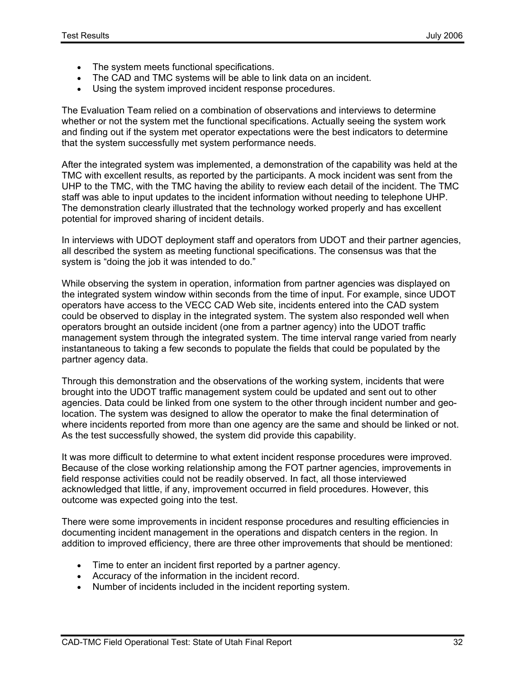- The system meets functional specifications.
- The CAD and TMC systems will be able to link data on an incident.
- Using the system improved incident response procedures.

The Evaluation Team relied on a combination of observations and interviews to determine whether or not the system met the functional specifications. Actually seeing the system work and finding out if the system met operator expectations were the best indicators to determine that the system successfully met system performance needs.

After the integrated system was implemented, a demonstration of the capability was held at the TMC with excellent results, as reported by the participants. A mock incident was sent from the UHP to the TMC, with the TMC having the ability to review each detail of the incident. The TMC staff was able to input updates to the incident information without needing to telephone UHP. The demonstration clearly illustrated that the technology worked properly and has excellent potential for improved sharing of incident details.

In interviews with UDOT deployment staff and operators from UDOT and their partner agencies, all described the system as meeting functional specifications. The consensus was that the system is "doing the job it was intended to do."

While observing the system in operation, information from partner agencies was displayed on the integrated system window within seconds from the time of input. For example, since UDOT operators have access to the VECC CAD Web site, incidents entered into the CAD system could be observed to display in the integrated system. The system also responded well when operators brought an outside incident (one from a partner agency) into the UDOT traffic management system through the integrated system. The time interval range varied from nearly instantaneous to taking a few seconds to populate the fields that could be populated by the partner agency data.

Through this demonstration and the observations of the working system, incidents that were brought into the UDOT traffic management system could be updated and sent out to other agencies. Data could be linked from one system to the other through incident number and geolocation. The system was designed to allow the operator to make the final determination of where incidents reported from more than one agency are the same and should be linked or not. As the test successfully showed, the system did provide this capability.

It was more difficult to determine to what extent incident response procedures were improved. Because of the close working relationship among the FOT partner agencies, improvements in field response activities could not be readily observed. In fact, all those interviewed acknowledged that little, if any, improvement occurred in field procedures. However, this outcome was expected going into the test.

There were some improvements in incident response procedures and resulting efficiencies in documenting incident management in the operations and dispatch centers in the region. In addition to improved efficiency, there are three other improvements that should be mentioned:

- Time to enter an incident first reported by a partner agency.
- Accuracy of the information in the incident record.
- Number of incidents included in the incident reporting system.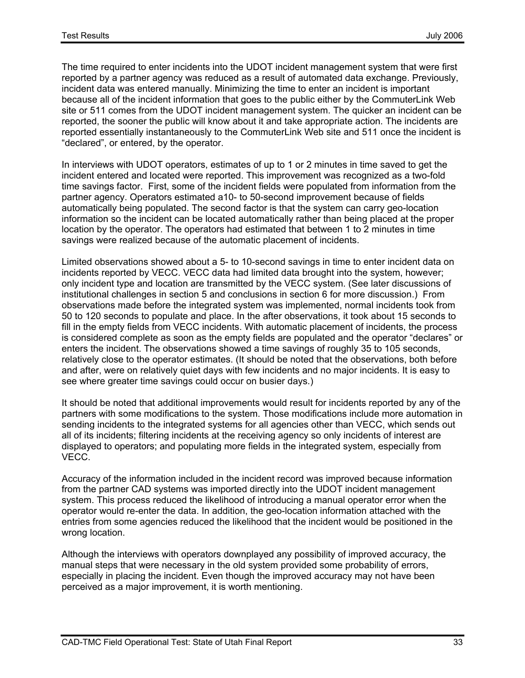The time required to enter incidents into the UDOT incident management system that were first reported by a partner agency was reduced as a result of automated data exchange. Previously, incident data was entered manually. Minimizing the time to enter an incident is important because all of the incident information that goes to the public either by the CommuterLink Web site or 511 comes from the UDOT incident management system. The quicker an incident can be reported, the sooner the public will know about it and take appropriate action. The incidents are reported essentially instantaneously to the CommuterLink Web site and 511 once the incident is "declared", or entered, by the operator.

In interviews with UDOT operators, estimates of up to 1 or 2 minutes in time saved to get the incident entered and located were reported. This improvement was recognized as a two-fold time savings factor. First, some of the incident fields were populated from information from the partner agency. Operators estimated a10- to 50-second improvement because of fields automatically being populated. The second factor is that the system can carry geo-location information so the incident can be located automatically rather than being placed at the proper location by the operator. The operators had estimated that between 1 to 2 minutes in time savings were realized because of the automatic placement of incidents.

Limited observations showed about a 5- to 10-second savings in time to enter incident data on incidents reported by VECC. VECC data had limited data brought into the system, however; only incident type and location are transmitted by the VECC system. (See later discussions of institutional challenges in section 5 and conclusions in section 6 for more discussion.) From observations made before the integrated system was implemented, normal incidents took from 50 to 120 seconds to populate and place. In the after observations, it took about 15 seconds to fill in the empty fields from VECC incidents. With automatic placement of incidents, the process is considered complete as soon as the empty fields are populated and the operator "declares" or enters the incident. The observations showed a time savings of roughly 35 to 105 seconds, relatively close to the operator estimates. (It should be noted that the observations, both before and after, were on relatively quiet days with few incidents and no major incidents. It is easy to see where greater time savings could occur on busier days.)

It should be noted that additional improvements would result for incidents reported by any of the partners with some modifications to the system. Those modifications include more automation in sending incidents to the integrated systems for all agencies other than VECC, which sends out all of its incidents; filtering incidents at the receiving agency so only incidents of interest are displayed to operators; and populating more fields in the integrated system, especially from VECC.

Accuracy of the information included in the incident record was improved because information from the partner CAD systems was imported directly into the UDOT incident management system. This process reduced the likelihood of introducing a manual operator error when the operator would re-enter the data. In addition, the geo-location information attached with the entries from some agencies reduced the likelihood that the incident would be positioned in the wrong location.

Although the interviews with operators downplayed any possibility of improved accuracy, the manual steps that were necessary in the old system provided some probability of errors, especially in placing the incident. Even though the improved accuracy may not have been perceived as a major improvement, it is worth mentioning.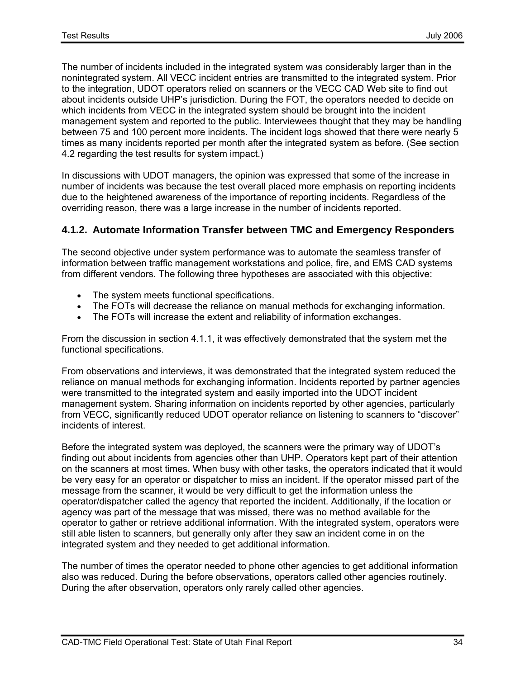The number of incidents included in the integrated system was considerably larger than in the nonintegrated system. All VECC incident entries are transmitted to the integrated system. Prior to the integration, UDOT operators relied on scanners or the VECC CAD Web site to find out about incidents outside UHP's jurisdiction. During the FOT, the operators needed to decide on which incidents from VECC in the integrated system should be brought into the incident management system and reported to the public. Interviewees thought that they may be handling between 75 and 100 percent more incidents. The incident logs showed that there were nearly 5 times as many incidents reported per month after the integrated system as before. (See section 4.2 regarding the test results for system impact.)

In discussions with UDOT managers, the opinion was expressed that some of the increase in number of incidents was because the test overall placed more emphasis on reporting incidents due to the heightened awareness of the importance of reporting incidents. Regardless of the overriding reason, there was a large increase in the number of incidents reported.

#### **4.1.2. Automate Information Transfer between TMC and Emergency Responders**

The second objective under system performance was to automate the seamless transfer of information between traffic management workstations and police, fire, and EMS CAD systems from different vendors. The following three hypotheses are associated with this objective:

- The system meets functional specifications.
- The FOTs will decrease the reliance on manual methods for exchanging information.
- The FOTs will increase the extent and reliability of information exchanges.

From the discussion in section 4.1.1, it was effectively demonstrated that the system met the functional specifications.

From observations and interviews, it was demonstrated that the integrated system reduced the reliance on manual methods for exchanging information. Incidents reported by partner agencies were transmitted to the integrated system and easily imported into the UDOT incident management system. Sharing information on incidents reported by other agencies, particularly from VECC, significantly reduced UDOT operator reliance on listening to scanners to "discover" incidents of interest.

Before the integrated system was deployed, the scanners were the primary way of UDOT's finding out about incidents from agencies other than UHP. Operators kept part of their attention on the scanners at most times. When busy with other tasks, the operators indicated that it would be very easy for an operator or dispatcher to miss an incident. If the operator missed part of the message from the scanner, it would be very difficult to get the information unless the operator/dispatcher called the agency that reported the incident. Additionally, if the location or agency was part of the message that was missed, there was no method available for the operator to gather or retrieve additional information. With the integrated system, operators were still able listen to scanners, but generally only after they saw an incident come in on the integrated system and they needed to get additional information.

The number of times the operator needed to phone other agencies to get additional information also was reduced. During the before observations, operators called other agencies routinely. During the after observation, operators only rarely called other agencies.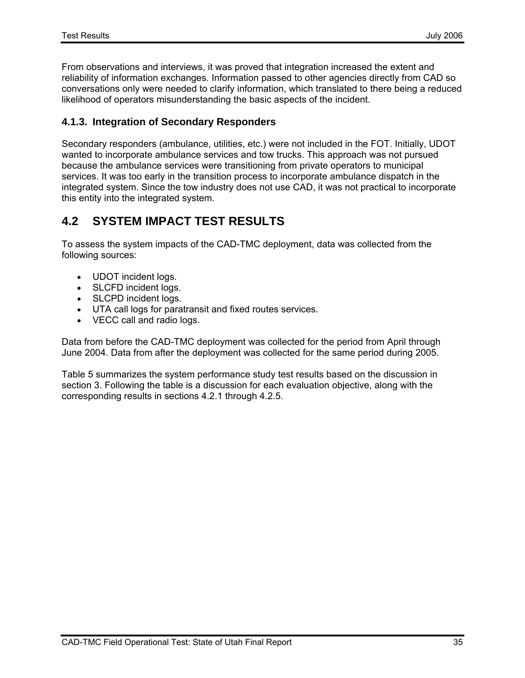From observations and interviews, it was proved that integration increased the extent and reliability of information exchanges. Information passed to other agencies directly from CAD so conversations only were needed to clarify information, which translated to there being a reduced likelihood of operators misunderstanding the basic aspects of the incident.

#### **4.1.3. Integration of Secondary Responders**

Secondary responders (ambulance, utilities, etc.) were not included in the FOT. Initially, UDOT wanted to incorporate ambulance services and tow trucks. This approach was not pursued because the ambulance services were transitioning from private operators to municipal services. It was too early in the transition process to incorporate ambulance dispatch in the integrated system. Since the tow industry does not use CAD, it was not practical to incorporate this entity into the integrated system.

## **4.2 SYSTEM IMPACT TEST RESULTS**

To assess the system impacts of the CAD-TMC deployment, data was collected from the following sources:

- UDOT incident logs.
- SLCFD incident logs.
- SLCPD incident logs.
- UTA call logs for paratransit and fixed routes services.
- VECC call and radio logs.

Data from before the CAD-TMC deployment was collected for the period from April through June 2004. Data from after the deployment was collected for the same period during 2005.

Table 5 summarizes the system performance study test results based on the discussion in section 3. Following the table is a discussion for each evaluation objective, along with the corresponding results in sections 4.2.1 through 4.2.5.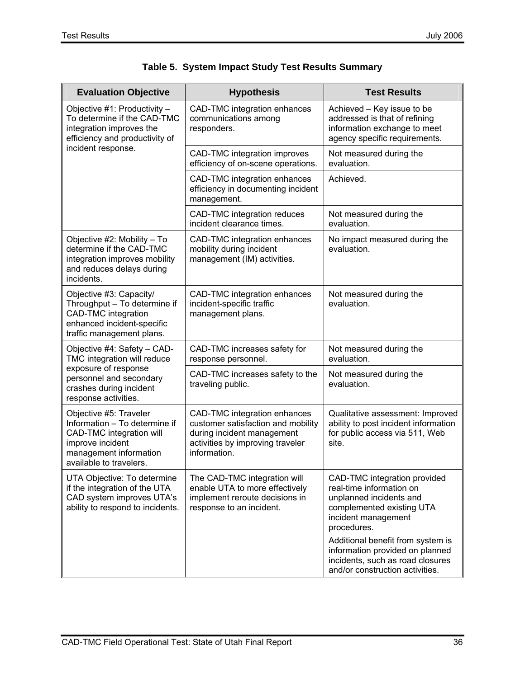| <b>Evaluation Objective</b>                                                                                                                                  | <b>Hypothesis</b>                                                                                                                                    | <b>Test Results</b>                                                                                                                                    |
|--------------------------------------------------------------------------------------------------------------------------------------------------------------|------------------------------------------------------------------------------------------------------------------------------------------------------|--------------------------------------------------------------------------------------------------------------------------------------------------------|
| Objective #1: Productivity -<br>To determine if the CAD-TMC<br>integration improves the<br>efficiency and productivity of                                    | CAD-TMC integration enhances<br>communications among<br>responders.                                                                                  | Achieved - Key issue to be<br>addressed is that of refining<br>information exchange to meet<br>agency specific requirements.                           |
| incident response.                                                                                                                                           | CAD-TMC integration improves<br>efficiency of on-scene operations.                                                                                   | Not measured during the<br>evaluation.                                                                                                                 |
|                                                                                                                                                              | CAD-TMC integration enhances<br>efficiency in documenting incident<br>management.                                                                    | Achieved.                                                                                                                                              |
|                                                                                                                                                              | CAD-TMC integration reduces<br>incident clearance times.                                                                                             | Not measured during the<br>evaluation.                                                                                                                 |
| Objective #2: Mobility - To<br>determine if the CAD-TMC<br>integration improves mobility<br>and reduces delays during<br>incidents.                          | CAD-TMC integration enhances<br>mobility during incident<br>management (IM) activities.                                                              | No impact measured during the<br>evaluation.                                                                                                           |
| Objective #3: Capacity/<br>Throughput - To determine if<br><b>CAD-TMC</b> integration<br>enhanced incident-specific<br>traffic management plans.             | CAD-TMC integration enhances<br>incident-specific traffic<br>management plans.                                                                       | Not measured during the<br>evaluation.                                                                                                                 |
| Objective #4: Safety - CAD-<br>TMC integration will reduce                                                                                                   | CAD-TMC increases safety for<br>response personnel.                                                                                                  | Not measured during the<br>evaluation.                                                                                                                 |
| exposure of response<br>personnel and secondary<br>crashes during incident<br>response activities.                                                           | CAD-TMC increases safety to the<br>traveling public.                                                                                                 | Not measured during the<br>evaluation.                                                                                                                 |
| Objective #5: Traveler<br>Information - To determine if<br>CAD-TMC integration will<br>improve incident<br>management information<br>available to travelers. | CAD-TMC integration enhances<br>customer satisfaction and mobility<br>during incident management<br>activities by improving traveler<br>information. | Qualitative assessment: Improved<br>ability to post incident information<br>for public access via 511, Web<br>site.                                    |
| UTA Objective: To determine<br>if the integration of the UTA<br>CAD system improves UTA's<br>ability to respond to incidents.                                | The CAD-TMC integration will<br>enable UTA to more effectively<br>implement reroute decisions in<br>response to an incident.                         | CAD-TMC integration provided<br>real-time information on<br>unplanned incidents and<br>complemented existing UTA<br>incident management<br>procedures. |
|                                                                                                                                                              |                                                                                                                                                      | Additional benefit from system is<br>information provided on planned<br>incidents, such as road closures<br>and/or construction activities.            |

|  |  |  | Table 5. System Impact Study Test Results Summary |
|--|--|--|---------------------------------------------------|
|--|--|--|---------------------------------------------------|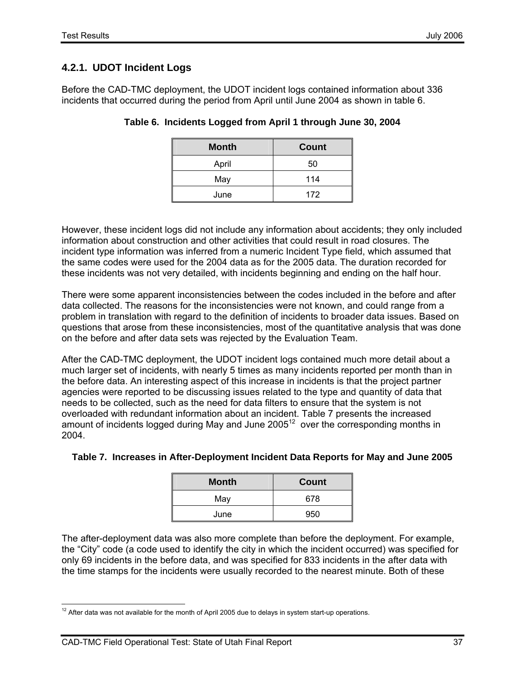### **4.2.1. UDOT Incident Logs**

Before the CAD-TMC deployment, the UDOT incident logs contained information about 336 incidents that occurred during the period from April until June 2004 as shown in table 6.

| <b>Month</b> | <b>Count</b> |
|--------------|--------------|
| April        | 50           |
| May          | 114          |
| June         | 172          |

**Table 6. Incidents Logged from April 1 through June 30, 2004** 

However, these incident logs did not include any information about accidents; they only included information about construction and other activities that could result in road closures. The incident type information was inferred from a numeric Incident Type field, which assumed that the same codes were used for the 2004 data as for the 2005 data. The duration recorded for these incidents was not very detailed, with incidents beginning and ending on the half hour.

There were some apparent inconsistencies between the codes included in the before and after data collected. The reasons for the inconsistencies were not known, and could range from a problem in translation with regard to the definition of incidents to broader data issues. Based on questions that arose from these inconsistencies, most of the quantitative analysis that was done on the before and after data sets was rejected by the Evaluation Team.

After the CAD-TMC deployment, the UDOT incident logs contained much more detail about a much larger set of incidents, with nearly 5 times as many incidents reported per month than in the before data. An interesting aspect of this increase in incidents is that the project partner agencies were reported to be discussing issues related to the type and quantity of data that needs to be collected, such as the need for data filters to ensure that the system is not overloaded with redundant information about an incident. Table 7 presents the increased amount of incidents logged during May and June  $2005<sup>12</sup>$  over the corresponding months in 2004.

| <b>Month</b> | Count |
|--------------|-------|
| May          | 678   |
| June         | 950   |

### **Table 7. Increases in After-Deployment Incident Data Reports for May and June 2005**

The after-deployment data was also more complete than before the deployment. For example, the "City" code (a code used to identify the city in which the incident occurred) was specified for only 69 incidents in the before data, and was specified for 833 incidents in the after data with the time stamps for the incidents were usually recorded to the nearest minute. Both of these

  $12$  After data was not available for the month of April 2005 due to delays in system start-up operations.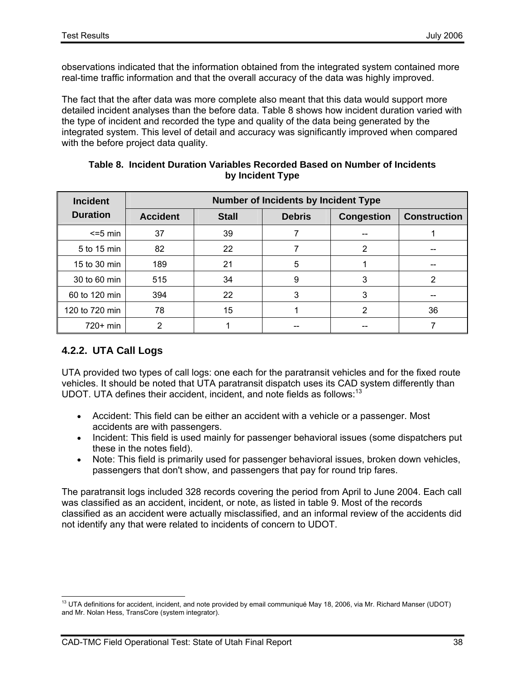observations indicated that the information obtained from the integrated system contained more real-time traffic information and that the overall accuracy of the data was highly improved.

The fact that the after data was more complete also meant that this data would support more detailed incident analyses than the before data. Table 8 shows how incident duration varied with the type of incident and recorded the type and quality of the data being generated by the integrated system. This level of detail and accuracy was significantly improved when compared with the before project data quality.

| <b>Incident</b> | <b>Number of Incidents by Incident Type</b> |              |               |                   |                     |
|-----------------|---------------------------------------------|--------------|---------------|-------------------|---------------------|
| <b>Duration</b> | <b>Accident</b>                             | <b>Stall</b> | <b>Debris</b> | <b>Congestion</b> | <b>Construction</b> |
| $\leq$ =5 min   | 37                                          | 39           |               |                   |                     |
| 5 to 15 min     | 82                                          | 22           |               | 2                 |                     |
| 15 to 30 min    | 189                                         | 21           | 5             |                   | --                  |
| 30 to 60 min    | 515                                         | 34           | 9             | 3                 | 2                   |
| 60 to 120 min   | 394                                         | 22           | 3             | 3                 | --                  |
| 120 to 720 min  | 78                                          | 15           |               | 2                 | 36                  |
| 720+ min        | າ                                           |              |               |                   |                     |

#### **Table 8. Incident Duration Variables Recorded Based on Number of Incidents by Incident Type**

### **4.2.2. UTA Call Logs**

UTA provided two types of call logs: one each for the paratransit vehicles and for the fixed route vehicles. It should be noted that UTA paratransit dispatch uses its CAD system differently than UDOT. UTA defines their accident, incident, and note fields as follows: $13$ 

- Accident: This field can be either an accident with a vehicle or a passenger. Most accidents are with passengers.
- Incident: This field is used mainly for passenger behavioral issues (some dispatchers put these in the notes field).
- Note: This field is primarily used for passenger behavioral issues, broken down vehicles, passengers that don't show, and passengers that pay for round trip fares.

The paratransit logs included 328 records covering the period from April to June 2004. Each call was classified as an accident, incident, or note, as listed in table 9. Most of the records classified as an accident were actually misclassified, and an informal review of the accidents did not identify any that were related to incidents of concern to UDOT.

<sup>-</sup> $13$  UTA definitions for accident, incident, and note provided by email communiqué May 18, 2006, via Mr. Richard Manser (UDOT) and Mr. Nolan Hess, TransCore (system integrator).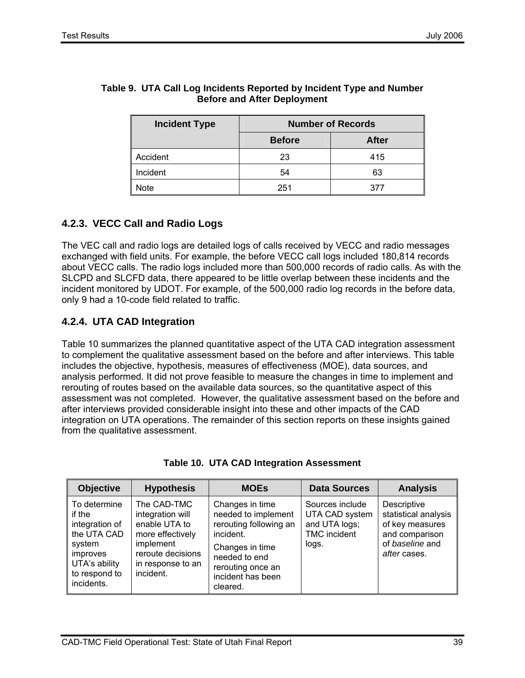| <b>Incident Type</b> | <b>Number of Records</b> |              |  |
|----------------------|--------------------------|--------------|--|
|                      | <b>Before</b>            | <b>After</b> |  |
| Accident             | 23                       | 415          |  |
| Incident             | 54                       | 63           |  |
| <b>Note</b>          | 251                      | 377          |  |

#### **Table 9. UTA Call Log Incidents Reported by Incident Type and Number Before and After Deployment**

### **4.2.3. VECC Call and Radio Logs**

The VEC call and radio logs are detailed logs of calls received by VECC and radio messages exchanged with field units. For example, the before VECC call logs included 180,814 records about VECC calls. The radio logs included more than 500,000 records of radio calls. As with the SLCPD and SLCFD data, there appeared to be little overlap between these incidents and the incident monitored by UDOT. For example, of the 500,000 radio log records in the before data, only 9 had a 10-code field related to traffic.

### **4.2.4. UTA CAD Integration**

Table 10 summarizes the planned quantitative aspect of the UTA CAD integration assessment to complement the qualitative assessment based on the before and after interviews. This table includes the objective, hypothesis, measures of effectiveness (MOE), data sources, and analysis performed. It did not prove feasible to measure the changes in time to implement and rerouting of routes based on the available data sources, so the quantitative aspect of this assessment was not completed. However, the qualitative assessment based on the before and after interviews provided considerable insight into these and other impacts of the CAD integration on UTA operations. The remainder of this section reports on these insights gained from the qualitative assessment.

| <b>Objective</b>                                                                                                              | <b>Hypothesis</b>                                                                                                                        | <b>MOEs</b>                                                                                                                                                             | <b>Data Sources</b>                                                                | <b>Analysis</b>                                                                                             |
|-------------------------------------------------------------------------------------------------------------------------------|------------------------------------------------------------------------------------------------------------------------------------------|-------------------------------------------------------------------------------------------------------------------------------------------------------------------------|------------------------------------------------------------------------------------|-------------------------------------------------------------------------------------------------------------|
| To determine<br>if the<br>integration of<br>the UTA CAD<br>system<br>improves<br>UTA's ability<br>to respond to<br>incidents. | The CAD-TMC<br>integration will<br>enable UTA to<br>more effectively<br>implement<br>reroute decisions<br>in response to an<br>incident. | Changes in time<br>needed to implement<br>rerouting following an<br>incident.<br>Changes in time<br>needed to end<br>rerouting once an<br>incident has been<br>cleared. | Sources include<br>UTA CAD system<br>and UTA logs;<br><b>TMC</b> incident<br>logs. | Descriptive<br>statistical analysis<br>of key measures<br>and comparison<br>of baseline and<br>after cases. |

| <b>Table 10. UTA CAD Integration Assessment</b> |  |  |  |  |
|-------------------------------------------------|--|--|--|--|
|-------------------------------------------------|--|--|--|--|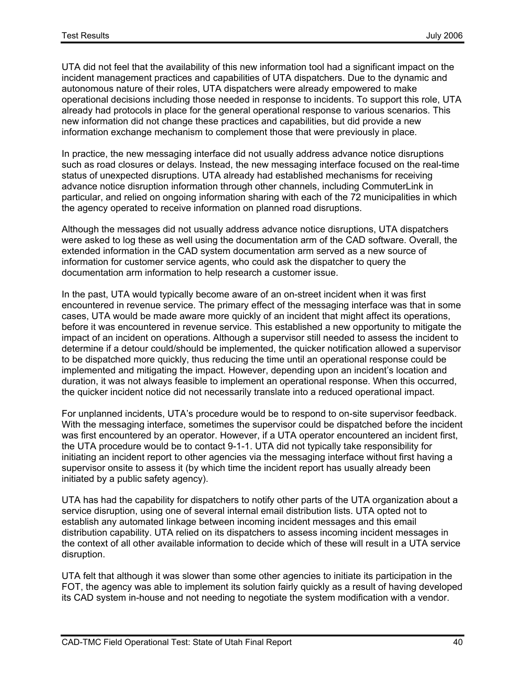UTA did not feel that the availability of this new information tool had a significant impact on the incident management practices and capabilities of UTA dispatchers. Due to the dynamic and autonomous nature of their roles, UTA dispatchers were already empowered to make operational decisions including those needed in response to incidents. To support this role, UTA already had protocols in place for the general operational response to various scenarios. This new information did not change these practices and capabilities, but did provide a new information exchange mechanism to complement those that were previously in place.

In practice, the new messaging interface did not usually address advance notice disruptions such as road closures or delays. Instead, the new messaging interface focused on the real-time status of unexpected disruptions. UTA already had established mechanisms for receiving advance notice disruption information through other channels, including CommuterLink in particular, and relied on ongoing information sharing with each of the 72 municipalities in which the agency operated to receive information on planned road disruptions.

Although the messages did not usually address advance notice disruptions, UTA dispatchers were asked to log these as well using the documentation arm of the CAD software. Overall, the extended information in the CAD system documentation arm served as a new source of information for customer service agents, who could ask the dispatcher to query the documentation arm information to help research a customer issue.

In the past, UTA would typically become aware of an on-street incident when it was first encountered in revenue service. The primary effect of the messaging interface was that in some cases, UTA would be made aware more quickly of an incident that might affect its operations, before it was encountered in revenue service. This established a new opportunity to mitigate the impact of an incident on operations. Although a supervisor still needed to assess the incident to determine if a detour could/should be implemented, the quicker notification allowed a supervisor to be dispatched more quickly, thus reducing the time until an operational response could be implemented and mitigating the impact. However, depending upon an incident's location and duration, it was not always feasible to implement an operational response. When this occurred, the quicker incident notice did not necessarily translate into a reduced operational impact.

For unplanned incidents, UTA's procedure would be to respond to on-site supervisor feedback. With the messaging interface, sometimes the supervisor could be dispatched before the incident was first encountered by an operator. However, if a UTA operator encountered an incident first, the UTA procedure would be to contact 9-1-1. UTA did not typically take responsibility for initiating an incident report to other agencies via the messaging interface without first having a supervisor onsite to assess it (by which time the incident report has usually already been initiated by a public safety agency).

UTA has had the capability for dispatchers to notify other parts of the UTA organization about a service disruption, using one of several internal email distribution lists. UTA opted not to establish any automated linkage between incoming incident messages and this email distribution capability. UTA relied on its dispatchers to assess incoming incident messages in the context of all other available information to decide which of these will result in a UTA service disruption.

UTA felt that although it was slower than some other agencies to initiate its participation in the FOT, the agency was able to implement its solution fairly quickly as a result of having developed its CAD system in-house and not needing to negotiate the system modification with a vendor.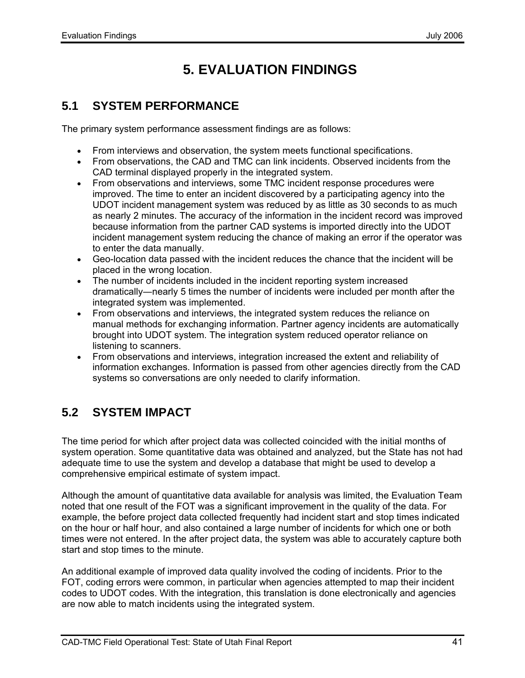# **5. EVALUATION FINDINGS**

## **5.1 SYSTEM PERFORMANCE**

The primary system performance assessment findings are as follows:

- From interviews and observation, the system meets functional specifications.
- From observations, the CAD and TMC can link incidents. Observed incidents from the CAD terminal displayed properly in the integrated system.
- From observations and interviews, some TMC incident response procedures were improved. The time to enter an incident discovered by a participating agency into the UDOT incident management system was reduced by as little as 30 seconds to as much as nearly 2 minutes. The accuracy of the information in the incident record was improved because information from the partner CAD systems is imported directly into the UDOT incident management system reducing the chance of making an error if the operator was to enter the data manually.
- Geo-location data passed with the incident reduces the chance that the incident will be placed in the wrong location.
- The number of incidents included in the incident reporting system increased dramatically―nearly 5 times the number of incidents were included per month after the integrated system was implemented.
- From observations and interviews, the integrated system reduces the reliance on manual methods for exchanging information. Partner agency incidents are automatically brought into UDOT system. The integration system reduced operator reliance on listening to scanners.
- From observations and interviews, integration increased the extent and reliability of information exchanges. Information is passed from other agencies directly from the CAD systems so conversations are only needed to clarify information.

# **5.2 SYSTEM IMPACT**

The time period for which after project data was collected coincided with the initial months of system operation. Some quantitative data was obtained and analyzed, but the State has not had adequate time to use the system and develop a database that might be used to develop a comprehensive empirical estimate of system impact.

Although the amount of quantitative data available for analysis was limited, the Evaluation Team noted that one result of the FOT was a significant improvement in the quality of the data. For example, the before project data collected frequently had incident start and stop times indicated on the hour or half hour, and also contained a large number of incidents for which one or both times were not entered. In the after project data, the system was able to accurately capture both start and stop times to the minute.

An additional example of improved data quality involved the coding of incidents. Prior to the FOT, coding errors were common, in particular when agencies attempted to map their incident codes to UDOT codes. With the integration, this translation is done electronically and agencies are now able to match incidents using the integrated system.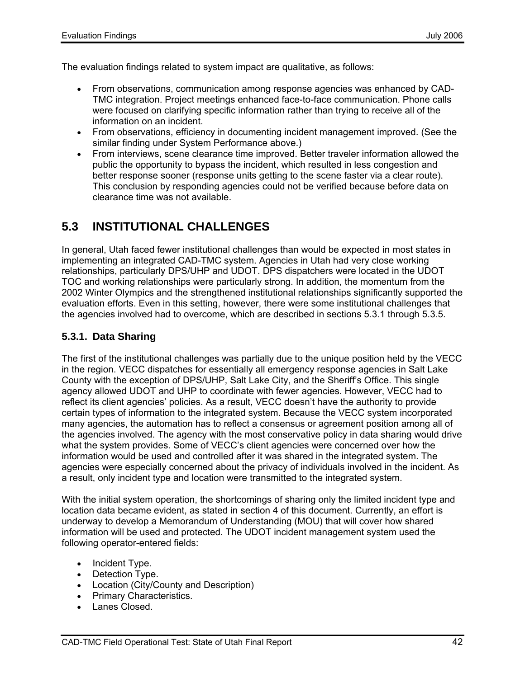The evaluation findings related to system impact are qualitative, as follows:

- From observations, communication among response agencies was enhanced by CAD-TMC integration. Project meetings enhanced face-to-face communication. Phone calls were focused on clarifying specific information rather than trying to receive all of the information on an incident.
- From observations, efficiency in documenting incident management improved. (See the similar finding under System Performance above.)
- From interviews, scene clearance time improved. Better traveler information allowed the public the opportunity to bypass the incident, which resulted in less congestion and better response sooner (response units getting to the scene faster via a clear route). This conclusion by responding agencies could not be verified because before data on clearance time was not available.

## **5.3 INSTITUTIONAL CHALLENGES**

In general, Utah faced fewer institutional challenges than would be expected in most states in implementing an integrated CAD-TMC system. Agencies in Utah had very close working relationships, particularly DPS/UHP and UDOT. DPS dispatchers were located in the UDOT TOC and working relationships were particularly strong. In addition, the momentum from the 2002 Winter Olympics and the strengthened institutional relationships significantly supported the evaluation efforts. Even in this setting, however, there were some institutional challenges that the agencies involved had to overcome, which are described in sections 5.3.1 through 5.3.5.

### **5.3.1. Data Sharing**

The first of the institutional challenges was partially due to the unique position held by the VECC in the region. VECC dispatches for essentially all emergency response agencies in Salt Lake County with the exception of DPS/UHP, Salt Lake City, and the Sheriff's Office. This single agency allowed UDOT and UHP to coordinate with fewer agencies. However, VECC had to reflect its client agencies' policies. As a result, VECC doesn't have the authority to provide certain types of information to the integrated system. Because the VECC system incorporated many agencies, the automation has to reflect a consensus or agreement position among all of the agencies involved. The agency with the most conservative policy in data sharing would drive what the system provides. Some of VECC's client agencies were concerned over how the information would be used and controlled after it was shared in the integrated system. The agencies were especially concerned about the privacy of individuals involved in the incident. As a result, only incident type and location were transmitted to the integrated system.

With the initial system operation, the shortcomings of sharing only the limited incident type and location data became evident, as stated in section 4 of this document. Currently, an effort is underway to develop a Memorandum of Understanding (MOU) that will cover how shared information will be used and protected. The UDOT incident management system used the following operator-entered fields:

- Incident Type.
- Detection Type.
- Location (City/County and Description)
- Primary Characteristics.
- Lanes Closed.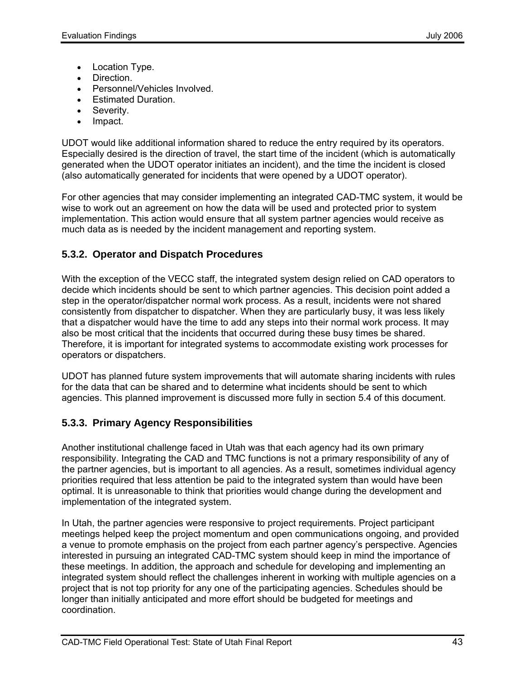- Location Type.
- Direction.
- Personnel/Vehicles Involved.
- Estimated Duration.
- Severity.
- Impact.

UDOT would like additional information shared to reduce the entry required by its operators. Especially desired is the direction of travel, the start time of the incident (which is automatically generated when the UDOT operator initiates an incident), and the time the incident is closed (also automatically generated for incidents that were opened by a UDOT operator).

For other agencies that may consider implementing an integrated CAD-TMC system, it would be wise to work out an agreement on how the data will be used and protected prior to system implementation. This action would ensure that all system partner agencies would receive as much data as is needed by the incident management and reporting system.

### **5.3.2. Operator and Dispatch Procedures**

With the exception of the VECC staff, the integrated system design relied on CAD operators to decide which incidents should be sent to which partner agencies. This decision point added a step in the operator/dispatcher normal work process. As a result, incidents were not shared consistently from dispatcher to dispatcher. When they are particularly busy, it was less likely that a dispatcher would have the time to add any steps into their normal work process. It may also be most critical that the incidents that occurred during these busy times be shared. Therefore, it is important for integrated systems to accommodate existing work processes for operators or dispatchers.

UDOT has planned future system improvements that will automate sharing incidents with rules for the data that can be shared and to determine what incidents should be sent to which agencies. This planned improvement is discussed more fully in section 5.4 of this document.

### **5.3.3. Primary Agency Responsibilities**

Another institutional challenge faced in Utah was that each agency had its own primary responsibility. Integrating the CAD and TMC functions is not a primary responsibility of any of the partner agencies, but is important to all agencies. As a result, sometimes individual agency priorities required that less attention be paid to the integrated system than would have been optimal. It is unreasonable to think that priorities would change during the development and implementation of the integrated system.

In Utah, the partner agencies were responsive to project requirements. Project participant meetings helped keep the project momentum and open communications ongoing, and provided a venue to promote emphasis on the project from each partner agency's perspective. Agencies interested in pursuing an integrated CAD-TMC system should keep in mind the importance of these meetings. In addition, the approach and schedule for developing and implementing an integrated system should reflect the challenges inherent in working with multiple agencies on a project that is not top priority for any one of the participating agencies. Schedules should be longer than initially anticipated and more effort should be budgeted for meetings and coordination.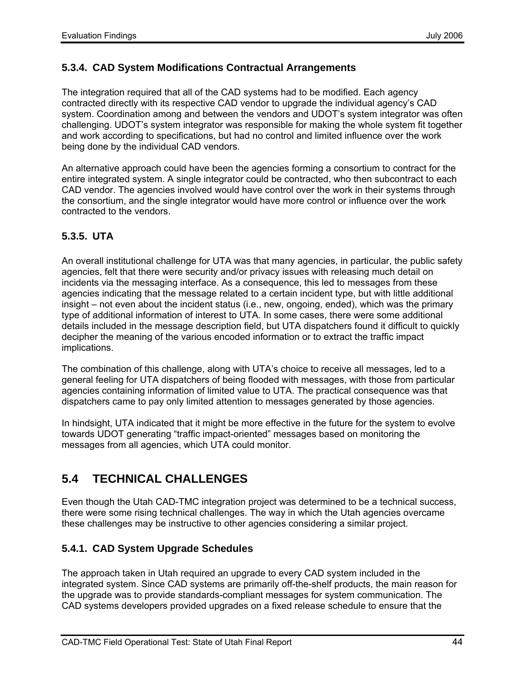### **5.3.4. CAD System Modifications Contractual Arrangements**

The integration required that all of the CAD systems had to be modified. Each agency contracted directly with its respective CAD vendor to upgrade the individual agency's CAD system. Coordination among and between the vendors and UDOT's system integrator was often challenging. UDOT's system integrator was responsible for making the whole system fit together and work according to specifications, but had no control and limited influence over the work being done by the individual CAD vendors.

An alternative approach could have been the agencies forming a consortium to contract for the entire integrated system. A single integrator could be contracted, who then subcontract to each CAD vendor. The agencies involved would have control over the work in their systems through the consortium, and the single integrator would have more control or influence over the work contracted to the vendors.

### **5.3.5. UTA**

An overall institutional challenge for UTA was that many agencies, in particular, the public safety agencies, felt that there were security and/or privacy issues with releasing much detail on incidents via the messaging interface. As a consequence, this led to messages from these agencies indicating that the message related to a certain incident type, but with little additional insight – not even about the incident status (i.e., new, ongoing, ended), which was the primary type of additional information of interest to UTA. In some cases, there were some additional details included in the message description field, but UTA dispatchers found it difficult to quickly decipher the meaning of the various encoded information or to extract the traffic impact implications.

The combination of this challenge, along with UTA's choice to receive all messages, led to a general feeling for UTA dispatchers of being flooded with messages, with those from particular agencies containing information of limited value to UTA. The practical consequence was that dispatchers came to pay only limited attention to messages generated by those agencies.

In hindsight, UTA indicated that it might be more effective in the future for the system to evolve towards UDOT generating "traffic impact-oriented" messages based on monitoring the messages from all agencies, which UTA could monitor.

# **5.4 TECHNICAL CHALLENGES**

Even though the Utah CAD-TMC integration project was determined to be a technical success, there were some rising technical challenges. The way in which the Utah agencies overcame these challenges may be instructive to other agencies considering a similar project.

### **5.4.1. CAD System Upgrade Schedules**

The approach taken in Utah required an upgrade to every CAD system included in the integrated system. Since CAD systems are primarily off-the-shelf products, the main reason for the upgrade was to provide standards-compliant messages for system communication. The CAD systems developers provided upgrades on a fixed release schedule to ensure that the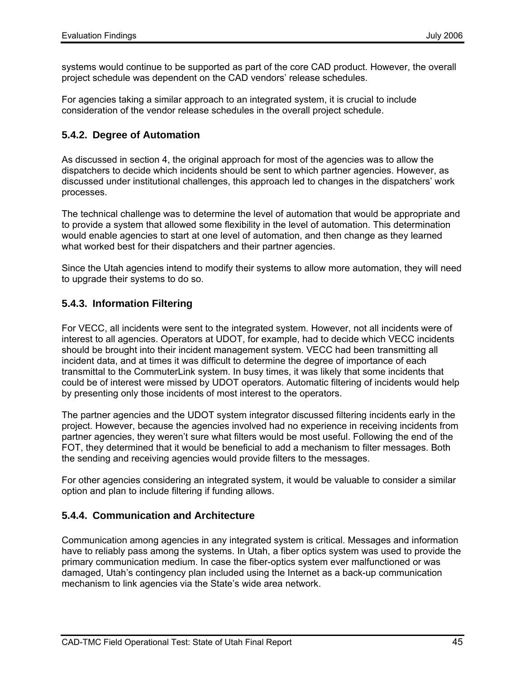systems would continue to be supported as part of the core CAD product. However, the overall project schedule was dependent on the CAD vendors' release schedules.

For agencies taking a similar approach to an integrated system, it is crucial to include consideration of the vendor release schedules in the overall project schedule.

#### **5.4.2. Degree of Automation**

As discussed in section 4, the original approach for most of the agencies was to allow the dispatchers to decide which incidents should be sent to which partner agencies. However, as discussed under institutional challenges, this approach led to changes in the dispatchers' work processes.

The technical challenge was to determine the level of automation that would be appropriate and to provide a system that allowed some flexibility in the level of automation. This determination would enable agencies to start at one level of automation, and then change as they learned what worked best for their dispatchers and their partner agencies.

Since the Utah agencies intend to modify their systems to allow more automation, they will need to upgrade their systems to do so.

#### **5.4.3. Information Filtering**

For VECC, all incidents were sent to the integrated system. However, not all incidents were of interest to all agencies. Operators at UDOT, for example, had to decide which VECC incidents should be brought into their incident management system. VECC had been transmitting all incident data, and at times it was difficult to determine the degree of importance of each transmittal to the CommuterLink system. In busy times, it was likely that some incidents that could be of interest were missed by UDOT operators. Automatic filtering of incidents would help by presenting only those incidents of most interest to the operators.

The partner agencies and the UDOT system integrator discussed filtering incidents early in the project. However, because the agencies involved had no experience in receiving incidents from partner agencies, they weren't sure what filters would be most useful. Following the end of the FOT, they determined that it would be beneficial to add a mechanism to filter messages. Both the sending and receiving agencies would provide filters to the messages.

For other agencies considering an integrated system, it would be valuable to consider a similar option and plan to include filtering if funding allows.

### **5.4.4. Communication and Architecture**

Communication among agencies in any integrated system is critical. Messages and information have to reliably pass among the systems. In Utah, a fiber optics system was used to provide the primary communication medium. In case the fiber-optics system ever malfunctioned or was damaged, Utah's contingency plan included using the Internet as a back-up communication mechanism to link agencies via the State's wide area network.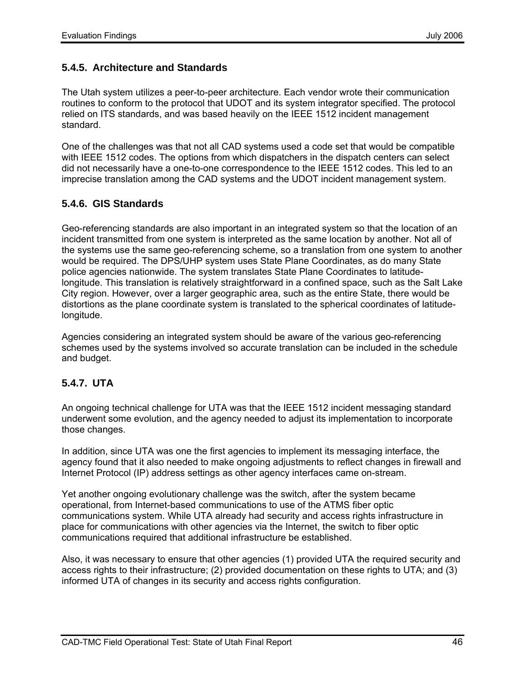#### **5.4.5. Architecture and Standards**

The Utah system utilizes a peer-to-peer architecture. Each vendor wrote their communication routines to conform to the protocol that UDOT and its system integrator specified. The protocol relied on ITS standards, and was based heavily on the IEEE 1512 incident management standard.

One of the challenges was that not all CAD systems used a code set that would be compatible with IEEE 1512 codes. The options from which dispatchers in the dispatch centers can select did not necessarily have a one-to-one correspondence to the IEEE 1512 codes. This led to an imprecise translation among the CAD systems and the UDOT incident management system.

#### **5.4.6. GIS Standards**

Geo-referencing standards are also important in an integrated system so that the location of an incident transmitted from one system is interpreted as the same location by another. Not all of the systems use the same geo-referencing scheme, so a translation from one system to another would be required. The DPS/UHP system uses State Plane Coordinates, as do many State police agencies nationwide. The system translates State Plane Coordinates to latitudelongitude. This translation is relatively straightforward in a confined space, such as the Salt Lake City region. However, over a larger geographic area, such as the entire State, there would be distortions as the plane coordinate system is translated to the spherical coordinates of latitudelongitude.

Agencies considering an integrated system should be aware of the various geo-referencing schemes used by the systems involved so accurate translation can be included in the schedule and budget.

### **5.4.7. UTA**

An ongoing technical challenge for UTA was that the IEEE 1512 incident messaging standard underwent some evolution, and the agency needed to adjust its implementation to incorporate those changes.

In addition, since UTA was one the first agencies to implement its messaging interface, the agency found that it also needed to make ongoing adjustments to reflect changes in firewall and Internet Protocol (IP) address settings as other agency interfaces came on-stream.

Yet another ongoing evolutionary challenge was the switch, after the system became operational, from Internet-based communications to use of the ATMS fiber optic communications system. While UTA already had security and access rights infrastructure in place for communications with other agencies via the Internet, the switch to fiber optic communications required that additional infrastructure be established.

Also, it was necessary to ensure that other agencies (1) provided UTA the required security and access rights to their infrastructure; (2) provided documentation on these rights to UTA; and (3) informed UTA of changes in its security and access rights configuration.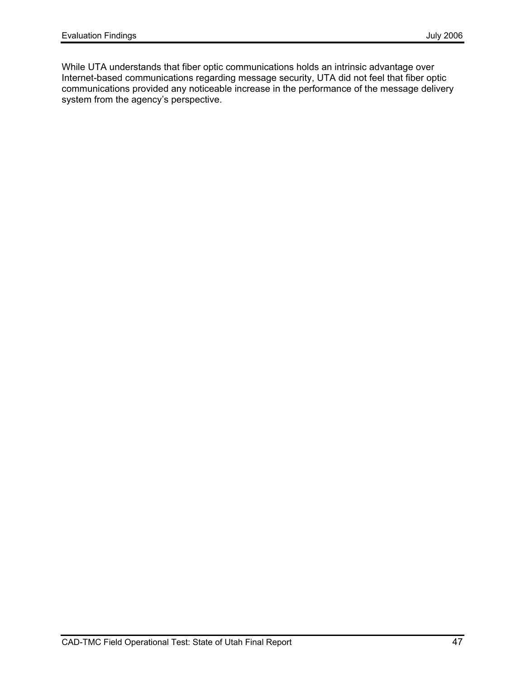While UTA understands that fiber optic communications holds an intrinsic advantage over Internet-based communications regarding message security, UTA did not feel that fiber optic communications provided any noticeable increase in the performance of the message delivery system from the agency's perspective.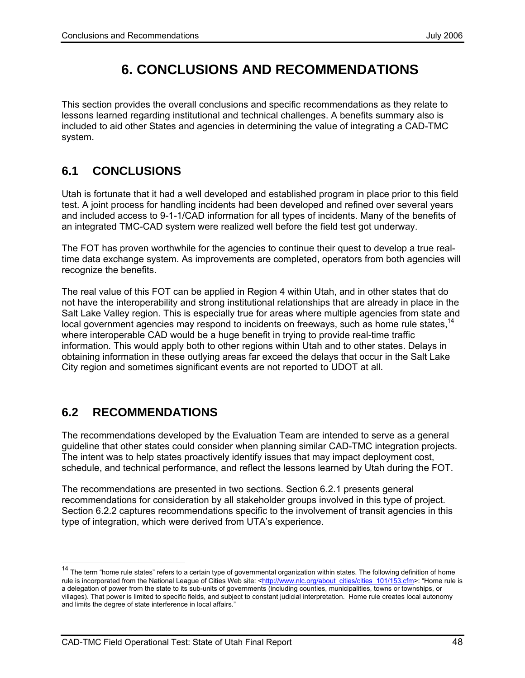# **6. CONCLUSIONS AND RECOMMENDATIONS**

This section provides the overall conclusions and specific recommendations as they relate to lessons learned regarding institutional and technical challenges. A benefits summary also is included to aid other States and agencies in determining the value of integrating a CAD-TMC system.

# **6.1 CONCLUSIONS**

Utah is fortunate that it had a well developed and established program in place prior to this field test. A joint process for handling incidents had been developed and refined over several years and included access to 9-1-1/CAD information for all types of incidents. Many of the benefits of an integrated TMC-CAD system were realized well before the field test got underway.

The FOT has proven worthwhile for the agencies to continue their quest to develop a true realtime data exchange system. As improvements are completed, operators from both agencies will recognize the benefits.

The real value of this FOT can be applied in Region 4 within Utah, and in other states that do not have the interoperability and strong institutional relationships that are already in place in the Salt Lake Valley region. This is especially true for areas where multiple agencies from state and local government agencies may respond to incidents on freeways, such as home rule states,  $14$ where interoperable CAD would be a huge benefit in trying to provide real-time traffic information. This would apply both to other regions within Utah and to other states. Delays in obtaining information in these outlying areas far exceed the delays that occur in the Salt Lake City region and sometimes significant events are not reported to UDOT at all.

### **6.2 RECOMMENDATIONS**

The recommendations developed by the Evaluation Team are intended to serve as a general guideline that other states could consider when planning similar CAD-TMC integration projects. The intent was to help states proactively identify issues that may impact deployment cost, schedule, and technical performance, and reflect the lessons learned by Utah during the FOT.

The recommendations are presented in two sections. Section 6.2.1 presents general recommendations for consideration by all stakeholder groups involved in this type of project. Section 6.2.2 captures recommendations specific to the involvement of transit agencies in this type of integration, which were derived from UTA's experience.

<sup>&</sup>lt;sup>14</sup> The term "home rule states" refers to a certain type of governmental organization within states. The following definition of home rule is incorporated from the National League of Cities Web site: <http://www.nlc.org/about\_cities/cities\_101/153.cfm>: "Home rule is a delegation of power from the state to its sub-units of governments (including counties, municipalities, towns or townships, or villages). That power is limited to specific fields, and subject to constant judicial interpretation. Home rule creates local autonomy and limits the degree of state interference in local affairs."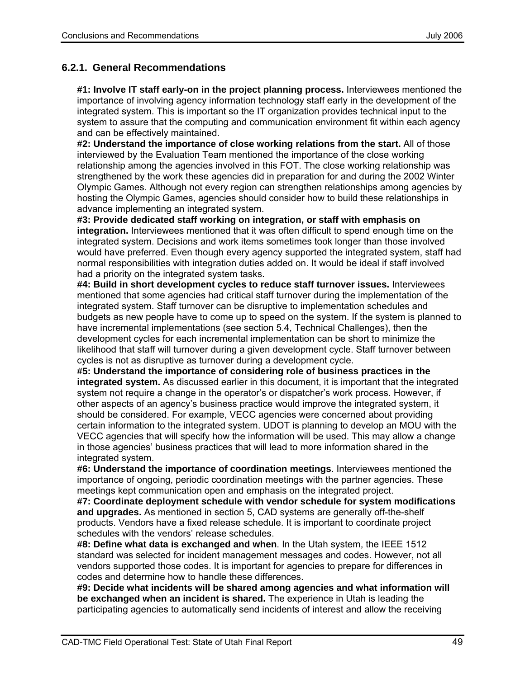### **6.2.1. General Recommendations**

**#1: Involve IT staff early-on in the project planning process.** Interviewees mentioned the importance of involving agency information technology staff early in the development of the integrated system. This is important so the IT organization provides technical input to the system to assure that the computing and communication environment fit within each agency and can be effectively maintained.

**#2: Understand the importance of close working relations from the start.** All of those interviewed by the Evaluation Team mentioned the importance of the close working relationship among the agencies involved in this FOT. The close working relationship was strengthened by the work these agencies did in preparation for and during the 2002 Winter Olympic Games. Although not every region can strengthen relationships among agencies by hosting the Olympic Games, agencies should consider how to build these relationships in advance implementing an integrated system.

**#3: Provide dedicated staff working on integration, or staff with emphasis on integration.** Interviewees mentioned that it was often difficult to spend enough time on the integrated system. Decisions and work items sometimes took longer than those involved would have preferred. Even though every agency supported the integrated system, staff had normal responsibilities with integration duties added on. It would be ideal if staff involved had a priority on the integrated system tasks.

**#4: Build in short development cycles to reduce staff turnover issues.** Interviewees mentioned that some agencies had critical staff turnover during the implementation of the integrated system. Staff turnover can be disruptive to implementation schedules and budgets as new people have to come up to speed on the system. If the system is planned to have incremental implementations (see section 5.4, Technical Challenges), then the development cycles for each incremental implementation can be short to minimize the likelihood that staff will turnover during a given development cycle. Staff turnover between cycles is not as disruptive as turnover during a development cycle.

**#5: Understand the importance of considering role of business practices in the integrated system.** As discussed earlier in this document, it is important that the integrated system not require a change in the operator's or dispatcher's work process. However, if other aspects of an agency's business practice would improve the integrated system, it should be considered. For example, VECC agencies were concerned about providing certain information to the integrated system. UDOT is planning to develop an MOU with the VECC agencies that will specify how the information will be used. This may allow a change in those agencies' business practices that will lead to more information shared in the integrated system.

**#6: Understand the importance of coordination meetings**. Interviewees mentioned the importance of ongoing, periodic coordination meetings with the partner agencies. These meetings kept communication open and emphasis on the integrated project.

**#7: Coordinate deployment schedule with vendor schedule for system modifications and upgrades.** As mentioned in section 5, CAD systems are generally off-the-shelf products. Vendors have a fixed release schedule. It is important to coordinate project schedules with the vendors' release schedules.

**#8: Define what data is exchanged and when**. In the Utah system, the IEEE 1512 standard was selected for incident management messages and codes. However, not all vendors supported those codes. It is important for agencies to prepare for differences in codes and determine how to handle these differences.

**#9: Decide what incidents will be shared among agencies and what information will be exchanged when an incident is shared.** The experience in Utah is leading the participating agencies to automatically send incidents of interest and allow the receiving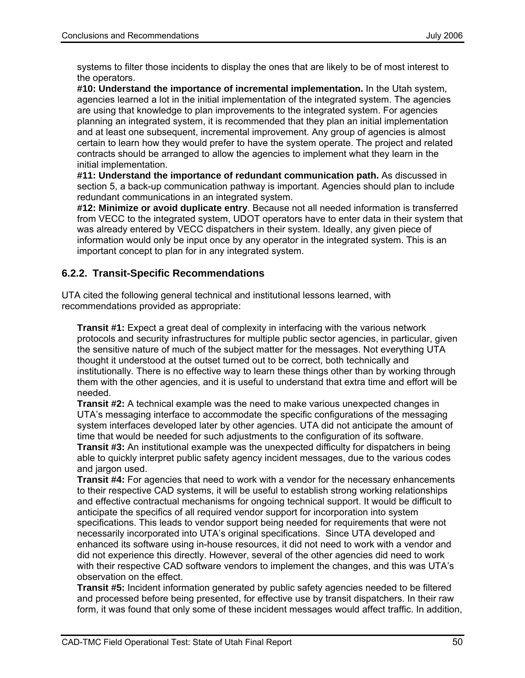systems to filter those incidents to display the ones that are likely to be of most interest to the operators.

**#10: Understand the importance of incremental implementation.** In the Utah system, agencies learned a lot in the initial implementation of the integrated system. The agencies are using that knowledge to plan improvements to the integrated system. For agencies planning an integrated system, it is recommended that they plan an initial implementation and at least one subsequent, incremental improvement. Any group of agencies is almost certain to learn how they would prefer to have the system operate. The project and related contracts should be arranged to allow the agencies to implement what they learn in the initial implementation.

**#11: Understand the importance of redundant communication path.** As discussed in section 5, a back-up communication pathway is important. Agencies should plan to include redundant communications in an integrated system.

**#12: Minimize or avoid duplicate entry**. Because not all needed information is transferred from VECC to the integrated system, UDOT operators have to enter data in their system that was already entered by VECC dispatchers in their system. Ideally, any given piece of information would only be input once by any operator in the integrated system. This is an important concept to plan for in any integrated system.

### **6.2.2. Transit-Specific Recommendations**

UTA cited the following general technical and institutional lessons learned, with recommendations provided as appropriate:

**Transit #1:** Expect a great deal of complexity in interfacing with the various network protocols and security infrastructures for multiple public sector agencies, in particular, given the sensitive nature of much of the subject matter for the messages. Not everything UTA thought it understood at the outset turned out to be correct, both technically and institutionally. There is no effective way to learn these things other than by working through them with the other agencies, and it is useful to understand that extra time and effort will be needed.

**Transit #2:** A technical example was the need to make various unexpected changes in UTA's messaging interface to accommodate the specific configurations of the messaging system interfaces developed later by other agencies. UTA did not anticipate the amount of time that would be needed for such adjustments to the configuration of its software. **Transit #3:** An institutional example was the unexpected difficulty for dispatchers in being able to quickly interpret public safety agency incident messages, due to the various codes and jargon used.

**Transit #4:** For agencies that need to work with a vendor for the necessary enhancements to their respective CAD systems, it will be useful to establish strong working relationships and effective contractual mechanisms for ongoing technical support. It would be difficult to anticipate the specifics of all required vendor support for incorporation into system specifications. This leads to vendor support being needed for requirements that were not necessarily incorporated into UTA's original specifications. Since UTA developed and enhanced its software using in-house resources, it did not need to work with a vendor and did not experience this directly. However, several of the other agencies did need to work with their respective CAD software vendors to implement the changes, and this was UTA's observation on the effect.

**Transit #5:** Incident information generated by public safety agencies needed to be filtered and processed before being presented, for effective use by transit dispatchers. In their raw form, it was found that only some of these incident messages would affect traffic. In addition,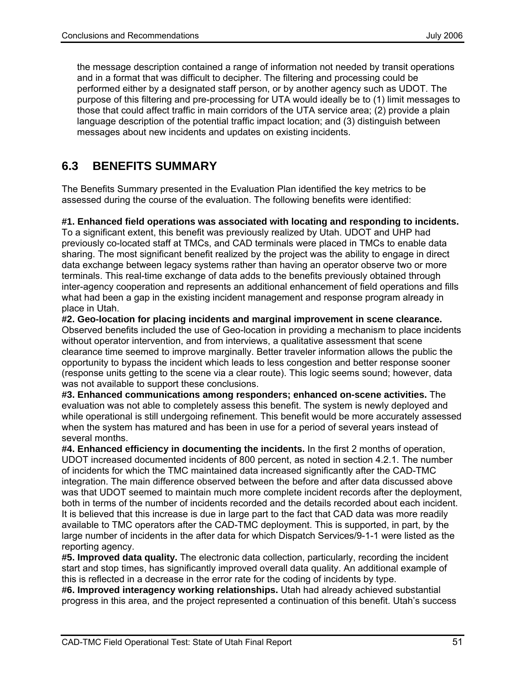the message description contained a range of information not needed by transit operations and in a format that was difficult to decipher. The filtering and processing could be performed either by a designated staff person, or by another agency such as UDOT. The purpose of this filtering and pre-processing for UTA would ideally be to (1) limit messages to those that could affect traffic in main corridors of the UTA service area; (2) provide a plain language description of the potential traffic impact location; and (3) distinguish between messages about new incidents and updates on existing incidents.

# **6.3 BENEFITS SUMMARY**

The Benefits Summary presented in the Evaluation Plan identified the key metrics to be assessed during the course of the evaluation. The following benefits were identified:

**#1. Enhanced field operations was associated with locating and responding to incidents.**

To a significant extent, this benefit was previously realized by Utah. UDOT and UHP had previously co-located staff at TMCs, and CAD terminals were placed in TMCs to enable data sharing. The most significant benefit realized by the project was the ability to engage in direct data exchange between legacy systems rather than having an operator observe two or more terminals. This real-time exchange of data adds to the benefits previously obtained through inter-agency cooperation and represents an additional enhancement of field operations and fills what had been a gap in the existing incident management and response program already in place in Utah.

**#2. Geo-location for placing incidents and marginal improvement in scene clearance.**  Observed benefits included the use of Geo-location in providing a mechanism to place incidents without operator intervention, and from interviews, a qualitative assessment that scene clearance time seemed to improve marginally. Better traveler information allows the public the opportunity to bypass the incident which leads to less congestion and better response sooner (response units getting to the scene via a clear route). This logic seems sound; however, data was not available to support these conclusions.

**#3. Enhanced communications among responders; enhanced on-scene activities.** The evaluation was not able to completely assess this benefit. The system is newly deployed and while operational is still undergoing refinement. This benefit would be more accurately assessed when the system has matured and has been in use for a period of several years instead of several months.

**#4. Enhanced efficiency in documenting the incidents.** In the first 2 months of operation, UDOT increased documented incidents of 800 percent, as noted in section 4.2.1. The number of incidents for which the TMC maintained data increased significantly after the CAD-TMC integration. The main difference observed between the before and after data discussed above was that UDOT seemed to maintain much more complete incident records after the deployment, both in terms of the number of incidents recorded and the details recorded about each incident. It is believed that this increase is due in large part to the fact that CAD data was more readily available to TMC operators after the CAD-TMC deployment. This is supported, in part, by the large number of incidents in the after data for which Dispatch Services/9-1-1 were listed as the reporting agency.

**#5. Improved data quality.** The electronic data collection, particularly, recording the incident start and stop times, has significantly improved overall data quality. An additional example of this is reflected in a decrease in the error rate for the coding of incidents by type.

**#6. Improved interagency working relationships.** Utah had already achieved substantial progress in this area, and the project represented a continuation of this benefit. Utah's success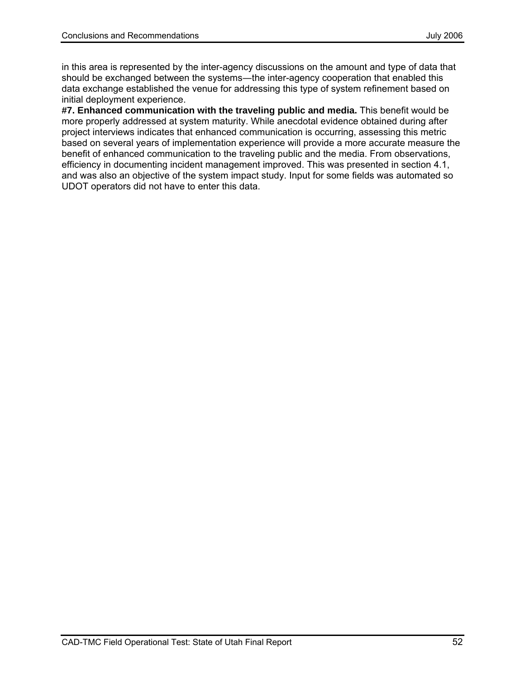in this area is represented by the inter-agency discussions on the amount and type of data that should be exchanged between the systems—the inter-agency cooperation that enabled this data exchange established the venue for addressing this type of system refinement based on initial deployment experience.

**#7. Enhanced communication with the traveling public and media.** This benefit would be more properly addressed at system maturity. While anecdotal evidence obtained during after project interviews indicates that enhanced communication is occurring, assessing this metric based on several years of implementation experience will provide a more accurate measure the benefit of enhanced communication to the traveling public and the media. From observations, efficiency in documenting incident management improved. This was presented in section 4.1, and was also an objective of the system impact study. Input for some fields was automated so UDOT operators did not have to enter this data.